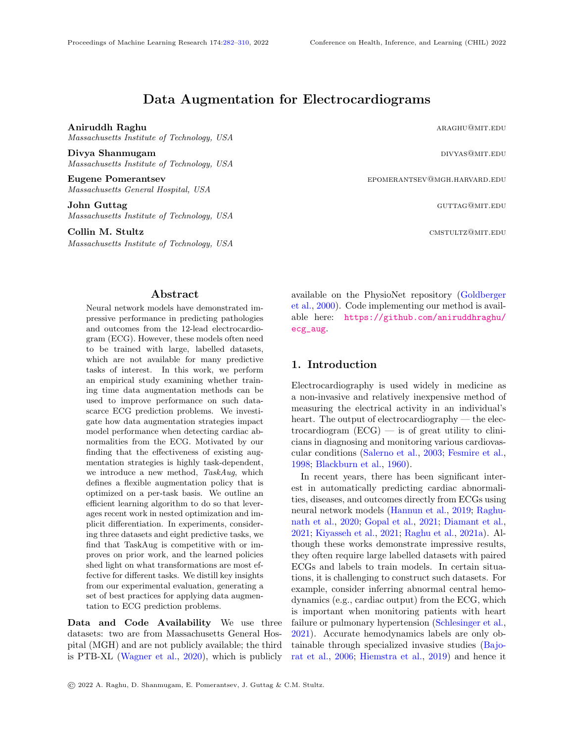# Data Augmentation for Electrocardiograms

Aniruddh Raghu aragan aragan aragan aragan aragan aragan aragan aragan aragan aragan aragan aragan aragan ara

Massachusetts Institute of Technology, USA

Divya Shanmugam divideo and the contract of the contract of the contract of the contract of the contract of the contract of the contract of the contract of the contract of the contract of the contract of the contract of th Massachusetts Institute of Technology, USA

Eugene Pomerantsev epomerantsev epomerantsev epomerantsev epomerantsev epomerantsev epomerantsev extensive epomerantsev extensive epomerantsev extensive epomerantsev extensive extensive extensive extensive extensive extens Massachusetts General Hospital, USA

**John Guttag Guttag guttag guttage guttage guttage guttage guttage guttage guttage guttage guttage guttage guttage guttage guttage guttage guttage guttage guttage guttage guttage guttage guttage guttage guttage guttage gut** Massachusetts Institute of Technology, USA

**Collin M. Stultz cmstultz cmstultz cmstultz cmstultz cmstultz cmstultz cmstultz cmstultz cmstultz cmstultz cmstultz cmstultz cmstultz cmstultz cmstultz cmstultz cmstultz cmstultz cmst** 

Massachusetts Institute of Technology, USA

# Abstract

<span id="page-0-0"></span>Neural network models have demonstrated impressive performance in predicting pathologies and outcomes from the 12-lead electrocardiogram (ECG). However, these models often need to be trained with large, labelled datasets, which are not available for many predictive tasks of interest. In this work, we perform an empirical study examining whether training time data augmentation methods can be used to improve performance on such datascarce ECG prediction problems. We investigate how data augmentation strategies impact model performance when detecting cardiac abnormalities from the ECG. Motivated by our finding that the effectiveness of existing augmentation strategies is highly task-dependent, we introduce a new method, TaskAug, which defines a flexible augmentation policy that is optimized on a per-task basis. We outline an efficient learning algorithm to do so that leverages recent work in nested optimization and implicit differentiation. In experiments, considering three datasets and eight predictive tasks, we find that TaskAug is competitive with or improves on prior work, and the learned policies shed light on what transformations are most effective for different tasks. We distill key insights from our experimental evaluation, generating a set of best practices for applying data augmentation to ECG prediction problems.

Data and Code Availability We use three datasets: two are from Massachusetts General Hospital (MGH) and are not publicly available; the third is PTB-XL [\(Wagner et al.,](#page-13-0) [2020\)](#page-13-0), which is publicly

available on the PhysioNet repository [\(Goldberger](#page-11-0) [et al.,](#page-11-0) [2000\)](#page-11-0). Code implementing our method is available here: [https://github.com/aniruddhraghu/](https://github.com/aniruddhraghu/ecg_aug) [ecg\\_aug](https://github.com/aniruddhraghu/ecg_aug).

# 1. Introduction

Electrocardiography is used widely in medicine as a non-invasive and relatively inexpensive method of measuring the electrical activity in an individual's heart. The output of electrocardiography — the electrocardiogram  $(ECG)$  — is of great utility to clinicians in diagnosing and monitoring various cardiovascular conditions [\(Salerno et al.,](#page-13-1) [2003;](#page-13-1) [Fesmire et al.,](#page-11-1) [1998;](#page-11-1) [Blackburn et al.,](#page-11-2) [1960\)](#page-11-2).

In recent years, there has been significant interest in automatically predicting cardiac abnormalities, diseases, and outcomes directly from ECGs using neural network models [\(Hannun et al.,](#page-11-3) [2019;](#page-11-3) [Raghu](#page-13-2)[nath et al.,](#page-13-2) [2020;](#page-13-2) [Gopal et al.,](#page-11-4) [2021;](#page-11-4) [Diamant et al.,](#page-11-5) [2021;](#page-11-5) [Kiyasseh et al.,](#page-12-0) [2021;](#page-12-0) [Raghu et al.,](#page-12-1) [2021a\)](#page-12-1). Although these works demonstrate impressive results, they often require large labelled datasets with paired ECGs and labels to train models. In certain situations, it is challenging to construct such datasets. For example, consider inferring abnormal central hemodynamics (e.g., cardiac output) from the ECG, which is important when monitoring patients with heart failure or pulmonary hypertension [\(Schlesinger et al.,](#page-13-3) [2021\)](#page-13-3). Accurate hemodynamics labels are only obtainable through specialized invasive studies [\(Bajo](#page-11-6)[rat et al.,](#page-11-6) [2006;](#page-11-6) [Hiemstra et al.,](#page-12-2) [2019\)](#page-12-2) and hence it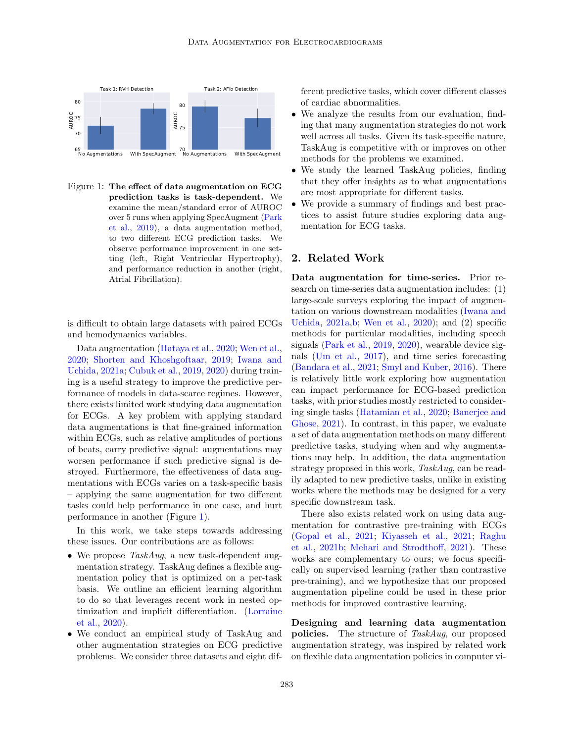

<span id="page-1-0"></span>Figure 1: The effect of data augmentation on ECG prediction tasks is task-dependent. We examine the mean/standard error of AUROC over 5 runs when applying SpecAugment [\(Park](#page-12-3) [et al.,](#page-12-3) [2019\)](#page-12-3), a data augmentation method, to two different ECG prediction tasks. We observe performance improvement in one setting (left, Right Ventricular Hypertrophy), and performance reduction in another (right, Atrial Fibrillation).

is difficult to obtain large datasets with paired ECGs and hemodynamics variables.

Data augmentation [\(Hataya et al.,](#page-12-4) [2020;](#page-12-4) [Wen et al.,](#page-13-4) [2020;](#page-13-4) [Shorten and Khoshgoftaar,](#page-13-5) [2019;](#page-13-5) [Iwana and](#page-12-5) [Uchida,](#page-12-5) [2021a;](#page-12-5) [Cubuk et al.,](#page-11-7) [2019,](#page-11-7) [2020\)](#page-11-8) during training is a useful strategy to improve the predictive performance of models in data-scarce regimes. However, there exists limited work studying data augmentation for ECGs. A key problem with applying standard data augmentations is that fine-grained information within ECGs, such as relative amplitudes of portions of beats, carry predictive signal: augmentations may worsen performance if such predictive signal is destroyed. Furthermore, the effectiveness of data augmentations with ECGs varies on a task-specific basis – applying the same augmentation for two different tasks could help performance in one case, and hurt performance in another (Figure [1\)](#page-1-0).

In this work, we take steps towards addressing these issues. Our contributions are as follows:

- We propose TaskAug, a new task-dependent augmentation strategy. TaskAug defines a flexible augmentation policy that is optimized on a per-task basis. We outline an efficient learning algorithm to do so that leverages recent work in nested optimization and implicit differentiation. [\(Lorraine](#page-12-6) [et al.,](#page-12-6) [2020\)](#page-12-6).
- We conduct an empirical study of TaskAug and other augmentation strategies on ECG predictive problems. We consider three datasets and eight dif-

ferent predictive tasks, which cover different classes of cardiac abnormalities.

- We analyze the results from our evaluation, finding that many augmentation strategies do not work well across all tasks. Given its task-specific nature, TaskAug is competitive with or improves on other methods for the problems we examined.
- We study the learned TaskAug policies, finding that they offer insights as to what augmentations are most appropriate for different tasks.
- We provide a summary of findings and best practices to assist future studies exploring data augmentation for ECG tasks.

# 2. Related Work

Data augmentation for time-series. Prior research on time-series data augmentation includes: (1) large-scale surveys exploring the impact of augmentation on various downstream modalities [\(Iwana and](#page-12-5) [Uchida,](#page-12-5) [2021a,](#page-12-5)[b;](#page-12-7) [Wen et al.,](#page-13-4) [2020\)](#page-13-4); and (2) specific methods for particular modalities, including speech signals [\(Park et al.,](#page-12-3) [2019,](#page-12-3) [2020\)](#page-12-8), wearable device signals [\(Um et al.,](#page-13-6) [2017\)](#page-13-6), and time series forecasting [\(Bandara et al.,](#page-11-9) [2021;](#page-11-9) [Smyl and Kuber,](#page-13-7) [2016\)](#page-13-7). There is relatively little work exploring how augmentation can impact performance for ECG-based prediction tasks, with prior studies mostly restricted to considering single tasks [\(Hatamian et al.,](#page-12-9) [2020;](#page-12-9) [Banerjee and](#page-11-10) [Ghose,](#page-11-10) [2021\)](#page-11-10). In contrast, in this paper, we evaluate a set of data augmentation methods on many different predictive tasks, studying when and why augmentations may help. In addition, the data augmentation strategy proposed in this work, TaskAug, can be readily adapted to new predictive tasks, unlike in existing works where the methods may be designed for a very specific downstream task.

There also exists related work on using data augmentation for contrastive pre-training with ECGs [\(Gopal et al.,](#page-11-4) [2021;](#page-11-4) [Kiyasseh et al.,](#page-12-0) [2021;](#page-12-0) [Raghu](#page-12-10) [et al.,](#page-12-10) [2021b;](#page-12-10) [Mehari and Strodthoff,](#page-12-11) [2021\)](#page-12-11). These works are complementary to ours; we focus specifically on supervised learning (rather than contrastive pre-training), and we hypothesize that our proposed augmentation pipeline could be used in these prior methods for improved contrastive learning.

Designing and learning data augmentation policies. The structure of TaskAug, our proposed augmentation strategy, was inspired by related work on flexible data augmentation policies in computer vi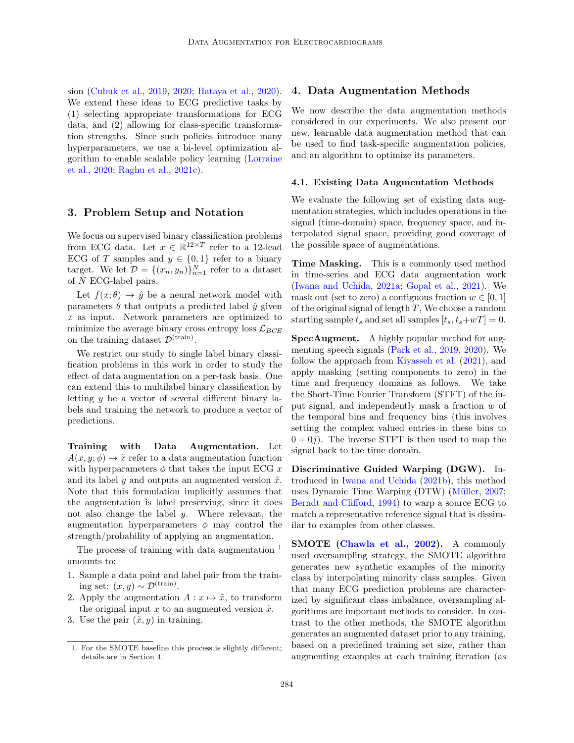sion [\(Cubuk et al.,](#page-11-7) [2019,](#page-11-7) [2020;](#page-11-8) [Hataya et al.,](#page-12-4) [2020\)](#page-12-4). We extend these ideas to ECG predictive tasks by (1) selecting appropriate transformations for ECG data, and (2) allowing for class-specific transformation strengths. Since such policies introduce many hyperparameters, we use a bi-level optimization algorithm to enable scalable policy learning [\(Lorraine](#page-12-6) [et al.,](#page-12-6) [2020;](#page-12-6) [Raghu et al.,](#page-12-12) [2021c\)](#page-12-12).

# 3. Problem Setup and Notation

We focus on supervised binary classification problems from ECG data. Let  $x \in \mathbb{R}^{12 \times T}$  refer to a 12-lead ECG of T samples and  $y \in \{0,1\}$  refer to a binary target. We let  $\mathcal{D} = \{(x_n, y_n)\}_{n=1}^N$  refer to a dataset of N ECG-label pairs.

Let  $f(x; \theta) \rightarrow \hat{y}$  be a neural network model with parameters  $\theta$  that outputs a predicted label  $\hat{y}$  given  $x$  as input. Network parameters are optimized to minimize the average binary cross entropy loss  $\mathcal{L}_{BCE}$ on the training dataset  $\mathcal{D}^{(\text{train})}$ .

We restrict our study to single label binary classification problems in this work in order to study the effect of data augmentation on a per-task basis. One can extend this to multilabel binary classification by letting y be a vector of several different binary labels and training the network to produce a vector of predictions.

Training with Data Augmentation. Let  $A(x, y; \phi) \rightarrow \tilde{x}$  refer to a data augmentation function with hyperparameters  $\phi$  that takes the input ECG x and its label y and outputs an augmented version  $\tilde{x}$ . Note that this formulation implicitly assumes that the augmentation is label preserving, since it does not also change the label y. Where relevant, the augmentation hyperparameters  $\phi$  may control the strength/probability of applying an augmentation.

The process of training with data augmentation  $<sup>1</sup>$  $<sup>1</sup>$  $<sup>1</sup>$ </sup> amounts to:

- 1. Sample a data point and label pair from the training set:  $(x, y) \sim \mathcal{D}^{(\text{train})}$ .
- 2. Apply the augmentation  $A: x \mapsto \tilde{x}$ , to transform the original input x to an augmented version  $\tilde{x}$ .
- 3. Use the pair  $(\tilde{x}, y)$  in training.

### <span id="page-2-1"></span>4. Data Augmentation Methods

We now describe the data augmentation methods considered in our experiments. We also present our new, learnable data augmentation method that can be used to find task-specific augmentation policies, and an algorithm to optimize its parameters.

#### 4.1. Existing Data Augmentation Methods

We evaluate the following set of existing data augmentation strategies, which includes operations in the signal (time-domain) space, frequency space, and interpolated signal space, providing good coverage of the possible space of augmentations.

Time Masking. This is a commonly used method in time-series and ECG data augmentation work [\(Iwana and Uchida,](#page-12-5) [2021a;](#page-12-5) [Gopal et al.,](#page-11-4) [2021\)](#page-11-4). We mask out (set to zero) a contiguous fraction  $w \in [0, 1]$ of the original signal of length T, We choose a random starting sample  $t_s$  and set all samples  $[t_s, t_s+wT] = 0$ .

SpecAugment. A highly popular method for augmenting speech signals [\(Park et al.,](#page-12-3) [2019,](#page-12-3) [2020\)](#page-12-8). We follow the approach from [Kiyasseh et al.](#page-12-0) [\(2021\)](#page-12-0), and apply masking (setting components to zero) in the time and frequency domains as follows. We take the Short-Time Fourier Transform (STFT) of the input signal, and independently mask a fraction w of the temporal bins and frequency bins (this involves setting the complex valued entries in these bins to  $0 + 0i$ . The inverse STFT is then used to map the signal back to the time domain.

Discriminative Guided Warping (DGW). Introduced in [Iwana and Uchida](#page-12-7) [\(2021b\)](#page-12-7), this method uses Dynamic Time Warping (DTW) (Müller, [2007;](#page-12-13) [Berndt and Clifford,](#page-11-11) [1994\)](#page-11-11) to warp a source ECG to match a representative reference signal that is dissimilar to examples from other classes.

SMOTE [\(Chawla et al.,](#page-11-12) [2002\)](#page-11-12). A commonly used oversampling strategy, the SMOTE algorithm generates new synthetic examples of the minority class by interpolating minority class samples. Given that many ECG prediction problems are characterized by significant class imbalance, oversampling algorithms are important methods to consider. In contrast to the other methods, the SMOTE algorithm generates an augmented dataset prior to any training, based on a predefined training set size, rather than augmenting examples at each training iteration (as

<span id="page-2-0"></span><sup>1.</sup> For the SMOTE baseline this process is slightly different; details are in Section [4.](#page-2-1)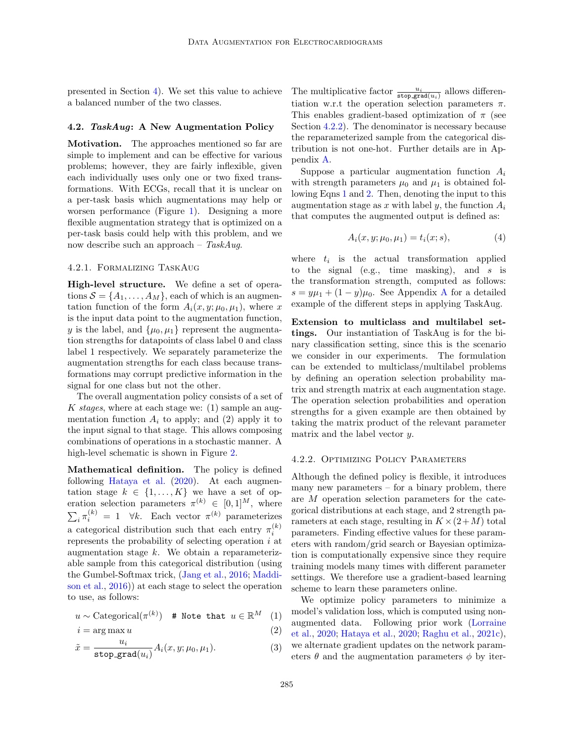presented in Section [4\)](#page-2-1). We set this value to achieve a balanced number of the two classes.

#### 4.2. TaskAug: A New Augmentation Policy

Motivation. The approaches mentioned so far are simple to implement and can be effective for various problems; however, they are fairly inflexible, given each individually uses only one or two fixed transformations. With ECGs, recall that it is unclear on a per-task basis which augmentations may help or worsen performance (Figure [1\)](#page-1-0). Designing a more flexible augmentation strategy that is optimized on a per-task basis could help with this problem, and we now describe such an approach –  $TaskAug$ .

### <span id="page-3-3"></span>4.2.1. Formalizing TaskAug

High-level structure. We define a set of operations  $S = \{A_1, \ldots, A_M\}$ , each of which is an augmentation function of the form  $A_i(x, y; \mu_0, \mu_1)$ , where x is the input data point to the augmentation function, y is the label, and  $\{\mu_0, \mu_1\}$  represent the augmentation strengths for datapoints of class label 0 and class label 1 respectively. We separately parameterize the augmentation strengths for each class because transformations may corrupt predictive information in the signal for one class but not the other.

The overall augmentation policy consists of a set of K stages, where at each stage we:  $(1)$  sample an augmentation function  $A_i$  to apply; and (2) apply it to the input signal to that stage. This allows composing combinations of operations in a stochastic manner. A high-level schematic is shown in Figure [2.](#page-4-0)

Mathematical definition. The policy is defined following [Hataya et al.](#page-12-4) [\(2020\)](#page-12-4). At each augmentation stage  $k \in \{1, ..., K\}$  we have a set of operation selection parameters  $\pi^{(k)} \in [0,1]^M$ , where  $\sum_i \pi_i^{(k)} = 1 \quad \forall k.$  Each vector  $\pi^{(k)}$  parameterizes a categorical distribution such that each entry  $\pi_i^{(k)}$ represents the probability of selecting operation  $i$  at augmentation stage k. We obtain a reparameterizable sample from this categorical distribution (using the Gumbel-Softmax trick, [\(Jang et al.,](#page-12-14) [2016;](#page-12-14) [Maddi](#page-12-15)[son et al.,](#page-12-15) [2016\)](#page-12-15)) at each stage to select the operation to use, as follows:

$$
u \sim \text{Categorical}(\pi^{(k)}) \quad \text{# Note that } u \in \mathbb{R}^M \quad (1)
$$

$$
i = \arg\max u \tag{2}
$$

$$
\tilde{x} = \frac{u_i}{\text{stop\_grad}(u_i)} A_i(x, y; \mu_0, \mu_1). \tag{3}
$$

The multiplicative factor  $\frac{u_i}{\text{stop\_grad}(u_i)}$  allows differentiation w.r.t the operation selection parameters  $\pi$ . This enables gradient-based optimization of  $\pi$  (see Section [4.2.2\)](#page-3-0). The denominator is necessary because the reparameterized sample from the categorical distribution is not one-hot. Further details are in Appendix [A.](#page-14-0)

Suppose a particular augmentation function  $A_i$ with strength parameters  $\mu_0$  and  $\mu_1$  is obtained following Eqns [1](#page-3-1) and [2.](#page-3-2) Then, denoting the input to this augmentation stage as x with label y, the function  $A_i$ that computes the augmented output is defined as:

$$
A_i(x, y; \mu_0, \mu_1) = t_i(x; s), \tag{4}
$$

where  $t_i$  is the actual transformation applied to the signal (e.g., time masking), and s is the transformation strength, computed as follows:  $s = y\mu_1 + (1 - y)\mu_0$ . See [A](#page-14-0)ppendix A for a detailed example of the different steps in applying TaskAug.

Extension to multiclass and multilabel settings. Our instantiation of TaskAug is for the binary classification setting, since this is the scenario we consider in our experiments. The formulation can be extended to multiclass/multilabel problems by defining an operation selection probability matrix and strength matrix at each augmentation stage. The operation selection probabilities and operation strengths for a given example are then obtained by taking the matrix product of the relevant parameter matrix and the label vector y.

#### <span id="page-3-0"></span>4.2.2. Optimizing Policy Parameters

Although the defined policy is flexible, it introduces many new parameters  $-$  for a binary problem, there are M operation selection parameters for the categorical distributions at each stage, and 2 strength parameters at each stage, resulting in  $K \times (2+M)$  total parameters. Finding effective values for these parameters with random/grid search or Bayesian optimization is computationally expensive since they require training models many times with different parameter settings. We therefore use a gradient-based learning scheme to learn these parameters online.

<span id="page-3-2"></span><span id="page-3-1"></span>We optimize policy parameters to minimize a model's validation loss, which is computed using nonaugmented data. Following prior work [\(Lorraine](#page-12-6) [et al.,](#page-12-6) [2020;](#page-12-6) [Hataya et al.,](#page-12-4) [2020;](#page-12-4) [Raghu et al.,](#page-12-12) [2021c\)](#page-12-12), we alternate gradient updates on the network parameters  $\theta$  and the augmentation parameters  $\phi$  by iter-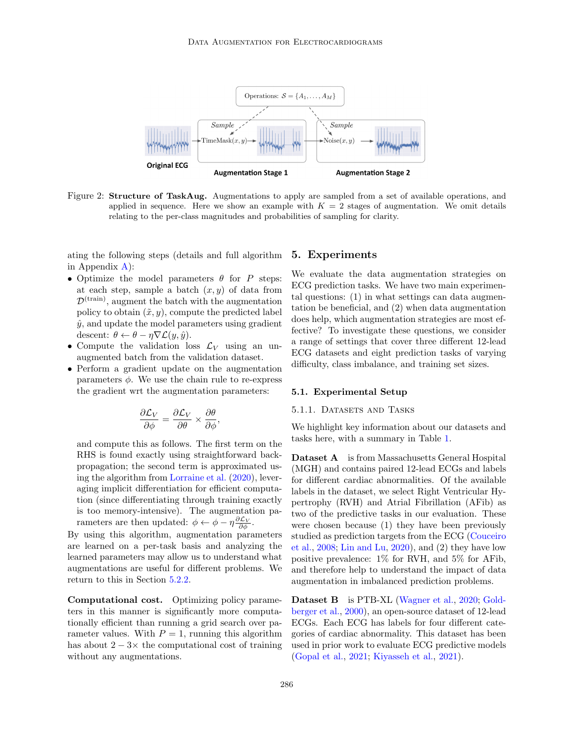

Figure 2: Structure of TaskAug. Augmentations to apply are sampled from a set of available operations, and applied in sequence. Here we show an example with  $K = 2$  stages of augmentation. We omit details relating to the per-class magnitudes and probabilities of sampling for clarity.

ating the following steps (details and full algorithm in Appendix [A\)](#page-14-0):

- Optimize the model parameters  $\theta$  for P steps: at each step, sample a batch  $(x, y)$  of data from  $\mathcal{D}^{(\text{train})}$ , augment the batch with the augmentation policy to obtain  $(\tilde{x}, y)$ , compute the predicted label  $\hat{y}$ , and update the model parameters using gradient descent:  $\theta \leftarrow \theta - \eta \nabla \mathcal{L}(y, \hat{y}).$
- Compute the validation loss  $\mathcal{L}_V$  using an unaugmented batch from the validation dataset.
- Perform a gradient update on the augmentation parameters  $\phi$ . We use the chain rule to re-express the gradient wrt the augmentation parameters:

$$
\frac{\partial \mathcal{L}_V}{\partial \phi} = \frac{\partial \mathcal{L}_V}{\partial \theta} \times \frac{\partial \theta}{\partial \phi},
$$

and compute this as follows. The first term on the RHS is found exactly using straightforward backpropagation; the second term is approximated using the algorithm from [Lorraine et al.](#page-12-6) [\(2020\)](#page-12-6), leveraging implicit differentiation for efficient computation (since differentiating through training exactly is too memory-intensive). The augmentation parameters are then updated:  $\phi \leftarrow \phi - \eta \frac{\partial \mathcal{L}_V}{\partial \phi}$ .

By using this algorithm, augmentation parameters are learned on a per-task basis and analyzing the learned parameters may allow us to understand what augmentations are useful for different problems. We return to this in Section [5.2.2.](#page-8-0)

Computational cost. Optimizing policy parameters in this manner is significantly more computationally efficient than running a grid search over parameter values. With  $P = 1$ , running this algorithm has about  $2 - 3 \times$  the computational cost of training without any augmentations.

#### <span id="page-4-0"></span>5. Experiments

We evaluate the data augmentation strategies on ECG prediction tasks. We have two main experimental questions: (1) in what settings can data augmentation be beneficial, and (2) when data augmentation does help, which augmentation strategies are most effective? To investigate these questions, we consider a range of settings that cover three different 12-lead ECG datasets and eight prediction tasks of varying difficulty, class imbalance, and training set sizes.

#### 5.1. Experimental Setup

#### 5.1.1. Datasets and Tasks

We highlight key information about our datasets and tasks here, with a summary in Table [1.](#page-5-0)

Dataset A is from Massachusetts General Hospital (MGH) and contains paired 12-lead ECGs and labels for different cardiac abnormalities. Of the available labels in the dataset, we select Right Ventricular Hypertrophy (RVH) and Atrial Fibrillation (AFib) as two of the predictive tasks in our evaluation. These were chosen because (1) they have been previously studied as prediction targets from the ECG [\(Couceiro](#page-11-13) [et al.,](#page-11-13) [2008;](#page-11-13) [Lin and Lu,](#page-12-16) [2020\)](#page-12-16), and (2) they have low positive prevalence: 1% for RVH, and 5% for AFib, and therefore help to understand the impact of data augmentation in imbalanced prediction problems.

Dataset B is PTB-XL [\(Wagner et al.,](#page-13-0) [2020;](#page-13-0) [Gold](#page-11-0)[berger et al.,](#page-11-0) [2000\)](#page-11-0), an open-source dataset of 12-lead ECGs. Each ECG has labels for four different categories of cardiac abnormality. This dataset has been used in prior work to evaluate ECG predictive models [\(Gopal et al.,](#page-11-4) [2021;](#page-11-4) [Kiyasseh et al.,](#page-12-0) [2021\)](#page-12-0).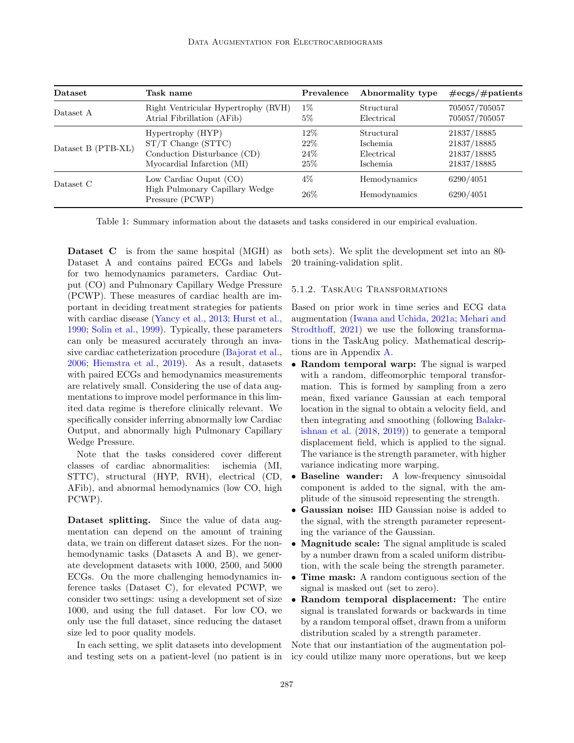| Dataset            | Task name                                                                   | Prevalence    | Abnormality type             | $\#\text{ecgs}/\#\text{patients}$ |
|--------------------|-----------------------------------------------------------------------------|---------------|------------------------------|-----------------------------------|
| Dataset A          | Right Ventricular Hypertrophy (RVH)                                         | $1\%$         | Structural                   | 705057/705057                     |
|                    | Atrial Fibrillation (AFib)                                                  | $5\%$         | Electrical                   | 705057/705057                     |
| Dataset B (PTB-XL) | Hypertrophy (HYP)                                                           | 12\%          | Structural                   | 21837/18885                       |
|                    | $ST/T$ Change $(STTC)$                                                      | 22%           | Ischemia                     | 21837/18885                       |
|                    | Conduction Disturbance (CD)                                                 | 24\%          | Electrical                   | 21837/18885                       |
|                    | Myocardial Infarction (MI)                                                  | 25%           | Ischemia                     | 21837/18885                       |
| Dataset C          | Low Cardiac Ouput (CO)<br>High Pulmonary Capillary Wedge<br>Pressure (PCWP) | $4\%$<br>26\% | Hemodynamics<br>Hemodynamics | 6290/4051<br>6290/4051            |

<span id="page-5-0"></span>Table 1: Summary information about the datasets and tasks considered in our empirical evaluation.

Dataset C is from the same hospital (MGH) as Dataset A and contains paired ECGs and labels for two hemodynamics parameters, Cardiac Output (CO) and Pulmonary Capillary Wedge Pressure (PCWP). These measures of cardiac health are important in deciding treatment strategies for patients with cardiac disease [\(Yancy et al.,](#page-13-8) [2013;](#page-13-8) [Hurst et al.,](#page-12-17) [1990;](#page-12-17) [Solin et al.,](#page-13-9) [1999\)](#page-13-9). Typically, these parameters can only be measured accurately through an invasive cardiac catheterization procedure [\(Bajorat et al.,](#page-11-6) [2006;](#page-11-6) [Hiemstra et al.,](#page-12-2) [2019\)](#page-12-2). As a result, datasets with paired ECGs and hemodynamics measurements are relatively small. Considering the use of data augmentations to improve model performance in this limited data regime is therefore clinically relevant. We specifically consider inferring abnormally low Cardiac Output, and abnormally high Pulmonary Capillary Wedge Pressure.

Note that the tasks considered cover different classes of cardiac abnormalities: ischemia (MI, STTC), structural (HYP, RVH), electrical (CD, AFib), and abnormal hemodynamics (low CO, high PCWP).

Dataset splitting. Since the value of data augmentation can depend on the amount of training data, we train on different dataset sizes. For the nonhemodynamic tasks (Datasets A and B), we generate development datasets with 1000, 2500, and 5000 ECGs. On the more challenging hemodynamics inference tasks (Dataset C), for elevated PCWP, we consider two settings: using a development set of size 1000, and using the full dataset. For low CO, we only use the full dataset, since reducing the dataset size led to poor quality models.

In each setting, we split datasets into development and testing sets on a patient-level (no patient is in both sets). We split the development set into an 80- 20 training-validation split.

### 5.1.2. TaskAug Transformations

Based on prior work in time series and ECG data augmentation [\(Iwana and Uchida,](#page-12-5) [2021a;](#page-12-5) [Mehari and](#page-12-11) [Strodthoff,](#page-12-11) [2021\)](#page-12-11) we use the following transformations in the TaskAug policy. Mathematical descriptions are in Appendix [A.](#page-14-0)

- Random temporal warp: The signal is warped with a random, diffeomorphic temporal transformation. This is formed by sampling from a zero mean, fixed variance Gaussian at each temporal location in the signal to obtain a velocity field, and then integrating and smoothing (following [Balakr](#page-11-14)[ishnan et al.](#page-11-14) [\(2018,](#page-11-14) [2019\)](#page-11-15)) to generate a temporal displacement field, which is applied to the signal. The variance is the strength parameter, with higher variance indicating more warping.
- Baseline wander: A low-frequency sinusoidal component is added to the signal, with the amplitude of the sinusoid representing the strength.
- Gaussian noise: IID Gaussian noise is added to the signal, with the strength parameter representing the variance of the Gaussian.
- Magnitude scale: The signal amplitude is scaled by a number drawn from a scaled uniform distribution, with the scale being the strength parameter.
- Time mask: A random contiguous section of the signal is masked out (set to zero).
- Random temporal displacement: The entire signal is translated forwards or backwards in time by a random temporal offset, drawn from a uniform distribution scaled by a strength parameter.

Note that our instantiation of the augmentation policy could utilize many more operations, but we keep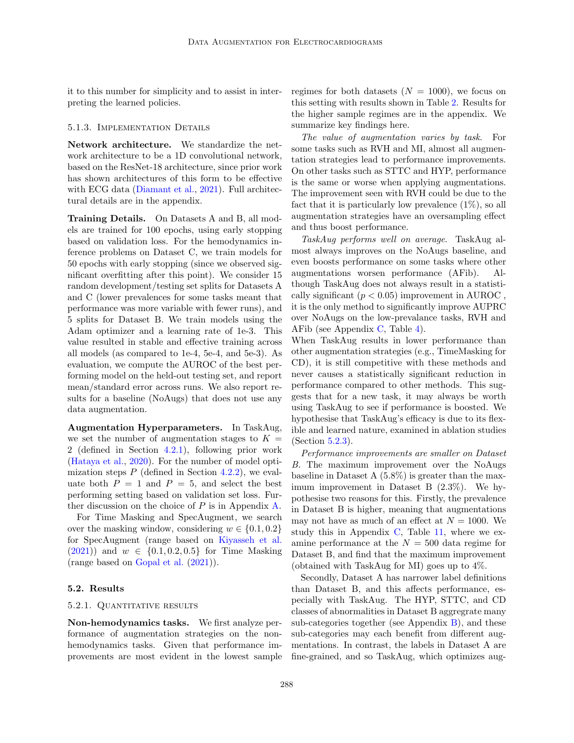it to this number for simplicity and to assist in interpreting the learned policies.

### 5.1.3. Implementation Details

Network architecture. We standardize the network architecture to be a 1D convolutional network, based on the ResNet-18 architecture, since prior work has shown architectures of this form to be effective with ECG data [\(Diamant et al.,](#page-11-5) [2021\)](#page-11-5). Full architectural details are in the appendix.

Training Details. On Datasets A and B, all models are trained for 100 epochs, using early stopping based on validation loss. For the hemodynamics inference problems on Dataset C, we train models for 50 epochs with early stopping (since we observed significant overfitting after this point). We consider 15 random development/testing set splits for Datasets A and C (lower prevalences for some tasks meant that performance was more variable with fewer runs), and 5 splits for Dataset B. We train models using the Adam optimizer and a learning rate of 1e-3. This value resulted in stable and effective training across all models (as compared to 1e-4, 5e-4, and 5e-3). As evaluation, we compute the AUROC of the best performing model on the held-out testing set, and report mean/standard error across runs. We also report results for a baseline (NoAugs) that does not use any data augmentation.

Augmentation Hyperparameters. In TaskAug, we set the number of augmentation stages to  $K =$ 2 (defined in Section [4.2.1\)](#page-3-3), following prior work [\(Hataya et al.,](#page-12-4) [2020\)](#page-12-4). For the number of model optimization steps  $P$  (defined in Section [4.2.2\)](#page-3-0), we evaluate both  $P = 1$  and  $P = 5$ , and select the best performing setting based on validation set loss. Further discussion on the choice of  $P$  is in Appendix [A.](#page-14-0)

For Time Masking and SpecAugment, we search over the masking window, considering  $w \in \{0.1, 0.2\}$ for SpecAugment (range based on [Kiyasseh et al.](#page-12-0)  $(2021)$  and  $w \in \{0.1, 0.2, 0.5\}$  for Time Masking (range based on [Gopal et al.](#page-11-4) [\(2021\)](#page-11-4)).

#### <span id="page-6-0"></span>5.2. Results

#### 5.2.1. Quantitative results

Non-hemodynamics tasks. We first analyze performance of augmentation strategies on the nonhemodynamics tasks. Given that performance improvements are most evident in the lowest sample regimes for both datasets  $(N = 1000)$ , we focus on this setting with results shown in Table [2.](#page-7-0) Results for the higher sample regimes are in the appendix. We summarize key findings here.

The value of augmentation varies by task. For some tasks such as RVH and MI, almost all augmentation strategies lead to performance improvements. On other tasks such as STTC and HYP, performance is the same or worse when applying augmentations. The improvement seen with RVH could be due to the fact that it is particularly low prevalence  $(1\%)$ , so all augmentation strategies have an oversampling effect and thus boost performance.

TaskAug performs well on average. TaskAug almost always improves on the NoAugs baseline, and even boosts performance on some tasks where other augmentations worsen performance (AFib). Although TaskAug does not always result in a statistically significant  $(p < 0.05)$  improvement in AUROC, it is the only method to significantly improve AUPRC over NoAugs on the low-prevalance tasks, RVH and AFib (see Appendix [C,](#page-19-0) Table [4\)](#page-19-1).

When TaskAug results in lower performance than other augmentation strategies (e.g., TimeMasking for CD), it is still competitive with these methods and never causes a statistically significant reduction in performance compared to other methods. This suggests that for a new task, it may always be worth using TaskAug to see if performance is boosted. We hypothesise that TaskAug's efficacy is due to its flexible and learned nature, examined in ablation studies (Section [5.2.3\)](#page-9-0).

Performance improvements are smaller on Dataset B. The maximum improvement over the NoAugs baseline in Dataset A (5.8%) is greater than the maximum improvement in Dataset B (2.3%). We hypothesise two reasons for this. Firstly, the prevalence in Dataset B is higher, meaning that augmentations may not have as much of an effect at  $N = 1000$ . We study this in Appendix [C,](#page-19-0) Table [11,](#page-24-0) where we examine performance at the  $N = 500$  data regime for Dataset B, and find that the maximum improvement (obtained with TaskAug for MI) goes up to 4%.

Secondly, Dataset A has narrower label definitions than Dataset B, and this affects performance, especially with TaskAug. The HYP, STTC, and CD classes of abnormalities in Dataset B aggregrate many sub-categories together (see Appendix  $B$ ), and these sub-categories may each benefit from different augmentations. In contrast, the labels in Dataset A are fine-grained, and so TaskAug, which optimizes aug-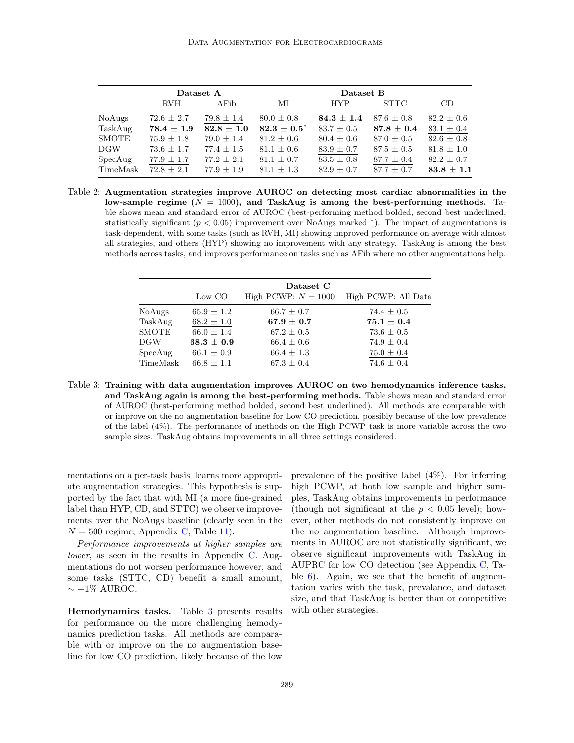|              | Dataset A      |                | Dataset B      |                |                  |                |
|--------------|----------------|----------------|----------------|----------------|------------------|----------------|
|              | <b>RVH</b>     | AFib           | МI             | <b>HYP</b>     | <b>STTC</b>      | CD             |
| NoAugs       | $72.6 \pm 2.7$ | $79.8 \pm 1.4$ | $80.0 \pm 0.8$ | $84.3 \pm 1.4$ | $87.6 + 0.8$     | $82.2 \pm 0.6$ |
| TaskAug      | $78.4 \pm 1.9$ | $82.8 \pm 1.0$ | $82.3 + 0.5^*$ | $83.7 \pm 0.5$ | $87.8\,\pm\,0.4$ | $83.1 \pm 0.4$ |
| <b>SMOTE</b> | $75.9 \pm 1.8$ | $79.0 \pm 1.4$ | $81.2 \pm 0.6$ | $80.4 \pm 0.6$ | $87.0 \pm 0.5$   | $82.6 \pm 0.8$ |
| DGW          | $73.6 \pm 1.7$ | $77.4 \pm 1.5$ | $81.1 \pm 0.6$ | $83.9 \pm 0.7$ | $87.5 \pm 0.5$   | $81.8 \pm 1.0$ |
| SpecAug      | $77.9 \pm 1.7$ | $77.2 \pm 2.1$ | $81.1 \pm 0.7$ | $83.5 \pm 0.8$ | $87.7 \pm 0.4$   | $82.2 \pm 0.7$ |
| TimeMask     | $72.8 + 2.1$   | $77.9 + 1.9$   | $81.1 \pm 1.3$ | $82.9 \pm 0.7$ | $87.7 + 0.7$     | $83.8 + 1.1$   |

Table 2: Augmentation strategies improve AUROC on detecting most cardiac abnormalities in the low-sample regime  $(N = 1000)$ , and TaskAug is among the best-performing methods. Table shows mean and standard error of AUROC (best-performing method bolded, second best underlined, statistically significant  $(p < 0.05)$  improvement over NoAugs marked \*). The impact of augmentations is task-dependent, with some tasks (such as RVH, MI) showing improved performance on average with almost all strategies, and others (HYP) showing no improvement with any strategy. TaskAug is among the best methods across tasks, and improves performance on tasks such as AFib where no other augmentations help.

<span id="page-7-0"></span>

|              | Dataset C      |                       |                     |  |  |
|--------------|----------------|-----------------------|---------------------|--|--|
|              | Low CO         | High PCWP: $N = 1000$ | High PCWP: All Data |  |  |
| NoAugs       | $65.9 \pm 1.2$ | $66.7 \pm 0.7$        | $74.4 \pm 0.5$      |  |  |
| TaskAug      | $68.2 \pm 1.0$ | $67.9 \pm 0.7$        | $75.1 + 0.4$        |  |  |
| <b>SMOTE</b> | $66.0 \pm 1.4$ | $67.2 \pm 0.5$        | $73.6 \pm 0.5$      |  |  |
| <b>DGW</b>   | $68.3 \pm 0.9$ | $66.4 \pm 0.6$        | $74.9 \pm 0.4$      |  |  |
| SpecAug      | $66.1 \pm 0.9$ | $66.4 \pm 1.3$        | $75.0 \pm 0.4$      |  |  |
| TimeMask     | $66.8 + 1.1$   | $67.3 \pm 0.4$        | $74.6 \pm 0.4$      |  |  |

Table 3: Training with data augmentation improves AUROC on two hemodynamics inference tasks, and TaskAug again is among the best-performing methods. Table shows mean and standard error of AUROC (best-performing method bolded, second best underlined). All methods are comparable with or improve on the no augmentation baseline for Low CO prediction, possibly because of the low prevalence of the label (4%). The performance of methods on the High PCWP task is more variable across the two sample sizes. TaskAug obtains improvements in all three settings considered.

mentations on a per-task basis, learns more appropriate augmentation strategies. This hypothesis is supported by the fact that with MI (a more fine-grained label than HYP, CD, and STTC) we observe improvements over the NoAugs baseline (clearly seen in the  $N = 500$  regime, Appendix [C,](#page-19-0) Table [11\)](#page-24-0).

Performance improvements at higher samples are lower, as seen in the results in Appendix [C.](#page-19-0) Augmentations do not worsen performance however, and some tasks (STTC, CD) benefit a small amount,  $\sim +1\%$  AUROC.

Hemodynamics tasks. Table [3](#page-7-1) presents results for performance on the more challenging hemodynamics prediction tasks. All methods are comparable with or improve on the no augmentation baseline for low CO prediction, likely because of the low

<span id="page-7-1"></span>prevalence of the positive label  $(4\%)$ . For inferring high PCWP, at both low sample and higher samples, TaskAug obtains improvements in performance (though not significant at the  $p < 0.05$  level); however, other methods do not consistently improve on the no augmentation baseline. Although improvements in AUROC are not statistically significant, we observe significant improvements with TaskAug in AUPRC for low CO detection (see Appendix [C,](#page-19-0) Table [6\)](#page-20-0). Again, we see that the benefit of augmentation varies with the task, prevalance, and dataset size, and that TaskAug is better than or competitive with other strategies.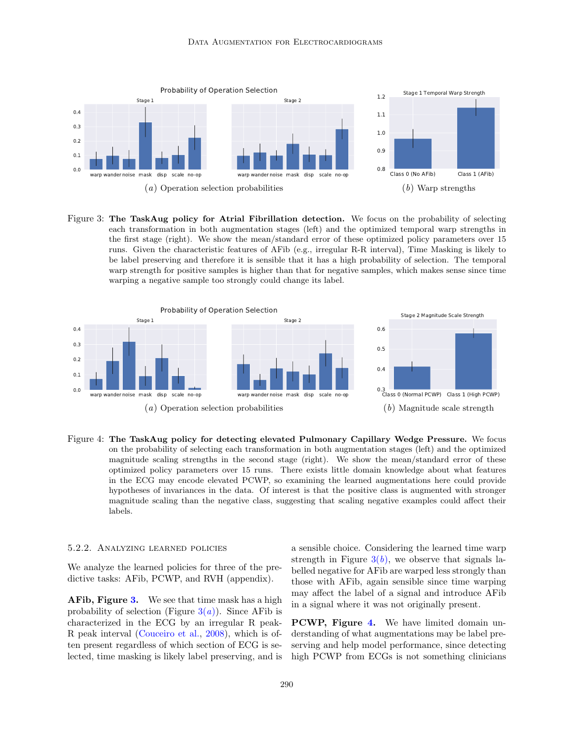<span id="page-8-2"></span>

<span id="page-8-3"></span><span id="page-8-1"></span>Figure 3: The TaskAug policy for Atrial Fibrillation detection. We focus on the probability of selecting each transformation in both augmentation stages (left) and the optimized temporal warp strengths in the first stage (right). We show the mean/standard error of these optimized policy parameters over 15 runs. Given the characteristic features of AFib (e.g., irregular R-R interval), Time Masking is likely to be label preserving and therefore it is sensible that it has a high probability of selection. The temporal warp strength for positive samples is higher than that for negative samples, which makes sense since time warping a negative sample too strongly could change its label.



<span id="page-8-4"></span>Figure 4: The TaskAug policy for detecting elevated Pulmonary Capillary Wedge Pressure. We focus on the probability of selecting each transformation in both augmentation stages (left) and the optimized magnitude scaling strengths in the second stage (right). We show the mean/standard error of these optimized policy parameters over 15 runs. There exists little domain knowledge about what features in the ECG may encode elevated PCWP, so examining the learned augmentations here could provide hypotheses of invariances in the data. Of interest is that the positive class is augmented with stronger magnitude scaling than the negative class, suggesting that scaling negative examples could affect their labels.

#### <span id="page-8-0"></span>5.2.2. Analyzing learned policies

We analyze the learned policies for three of the predictive tasks: AFib, PCWP, and RVH (appendix).

AFib, Figure [3.](#page-8-1) We see that time mask has a high probability of selection (Figure  $3(a)$  $3(a)$ ). Since AFib is characterized in the ECG by an irregular R peak-R peak interval [\(Couceiro et al.,](#page-11-13) [2008\)](#page-11-13), which is often present regardless of which section of ECG is selected, time masking is likely label preserving, and is <span id="page-8-5"></span>a sensible choice. Considering the learned time warp strength in Figure  $3(b)$  $3(b)$ , we observe that signals labelled negative for AFib are warped less strongly than those with AFib, again sensible since time warping may affect the label of a signal and introduce AFib in a signal where it was not originally present.

PCWP, Figure [4.](#page-8-4) We have limited domain understanding of what augmentations may be label preserving and help model performance, since detecting high PCWP from ECGs is not something clinicians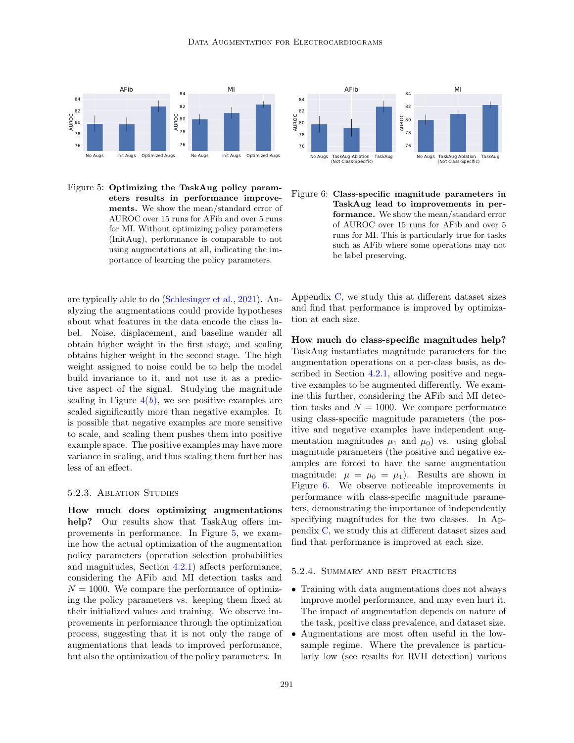#### DATA AUGMENTATION FOR ELECTROCARDIOGRAMS



<span id="page-9-1"></span>Figure 5: Optimizing the TaskAug policy parameters results in performance improvements. We show the mean/standard error of AUROC over 15 runs for AFib and over 5 runs for MI. Without optimizing policy parameters (InitAug), performance is comparable to not using augmentations at all, indicating the importance of learning the policy parameters.

are typically able to do [\(Schlesinger et al.,](#page-13-3) [2021\)](#page-13-3). Analyzing the augmentations could provide hypotheses about what features in the data encode the class label. Noise, displacement, and baseline wander all obtain higher weight in the first stage, and scaling obtains higher weight in the second stage. The high weight assigned to noise could be to help the model build invariance to it, and not use it as a predictive aspect of the signal. Studying the magnitude scaling in Figure  $4(b)$  $4(b)$ , we see positive examples are scaled significantly more than negative examples. It is possible that negative examples are more sensitive to scale, and scaling them pushes them into positive example space. The positive examples may have more variance in scaling, and thus scaling them further has less of an effect.

### <span id="page-9-0"></span>5.2.3. Ablation Studies

How much does optimizing augmentations help? Our results show that TaskAug offers improvements in performance. In Figure [5,](#page-9-1) we examine how the actual optimization of the augmentation policy parameters (operation selection probabilities and magnitudes, Section [4.2.1\)](#page-3-3) affects performance, considering the AFib and MI detection tasks and  $N = 1000$ . We compare the performance of optimizing the policy parameters vs. keeping them fixed at their initialized values and training. We observe improvements in performance through the optimization process, suggesting that it is not only the range of augmentations that leads to improved performance, but also the optimization of the policy parameters. In



<span id="page-9-2"></span>Figure 6: Class-specific magnitude parameters in TaskAug lead to improvements in performance. We show the mean/standard error of AUROC over 15 runs for AFib and over 5 runs for MI. This is particularly true for tasks such as AFib where some operations may not be label preserving.

Appendix [C,](#page-19-0) we study this at different dataset sizes and find that performance is improved by optimization at each size.

How much do class-specific magnitudes help? TaskAug instantiates magnitude parameters for the augmentation operations on a per-class basis, as described in Section [4.2.1,](#page-3-3) allowing positive and negative examples to be augmented differently. We examine this further, considering the AFib and MI detection tasks and  $N = 1000$ . We compare performance using class-specific magnitude parameters (the positive and negative examples have independent augmentation magnitudes  $\mu_1$  and  $\mu_0$ ) vs. using global magnitude parameters (the positive and negative examples are forced to have the same augmentation magnitude:  $\mu = \mu_0 = \mu_1$ . Results are shown in Figure [6.](#page-9-2) We observe noticeable improvements in performance with class-specific magnitude parameters, demonstrating the importance of independently specifying magnitudes for the two classes. In Appendix [C,](#page-19-0) we study this at different dataset sizes and find that performance is improved at each size.

#### 5.2.4. Summary and best practices

- Training with data augmentations does not always improve model performance, and may even hurt it. The impact of augmentation depends on nature of the task, positive class prevalence, and dataset size.
- Augmentations are most often useful in the lowsample regime. Where the prevalence is particularly low (see results for RVH detection) various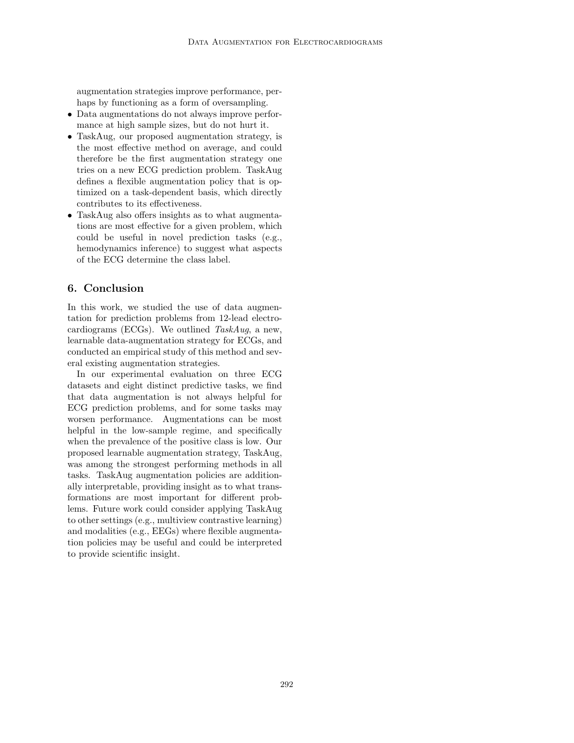augmentation strategies improve performance, perhaps by functioning as a form of oversampling.

- Data augmentations do not always improve performance at high sample sizes, but do not hurt it.
- TaskAug, our proposed augmentation strategy, is the most effective method on average, and could therefore be the first augmentation strategy one tries on a new ECG prediction problem. TaskAug defines a flexible augmentation policy that is optimized on a task-dependent basis, which directly contributes to its effectiveness.
- TaskAug also offers insights as to what augmentations are most effective for a given problem, which could be useful in novel prediction tasks (e.g., hemodynamics inference) to suggest what aspects of the ECG determine the class label.

# 6. Conclusion

In this work, we studied the use of data augmentation for prediction problems from 12-lead electrocardiograms (ECGs). We outlined TaskAug, a new, learnable data-augmentation strategy for ECGs, and conducted an empirical study of this method and several existing augmentation strategies.

In our experimental evaluation on three ECG datasets and eight distinct predictive tasks, we find that data augmentation is not always helpful for ECG prediction problems, and for some tasks may worsen performance. Augmentations can be most helpful in the low-sample regime, and specifically when the prevalence of the positive class is low. Our proposed learnable augmentation strategy, TaskAug, was among the strongest performing methods in all tasks. TaskAug augmentation policies are additionally interpretable, providing insight as to what transformations are most important for different problems. Future work could consider applying TaskAug to other settings (e.g., multiview contrastive learning) and modalities (e.g., EEGs) where flexible augmentation policies may be useful and could be interpreted to provide scientific insight.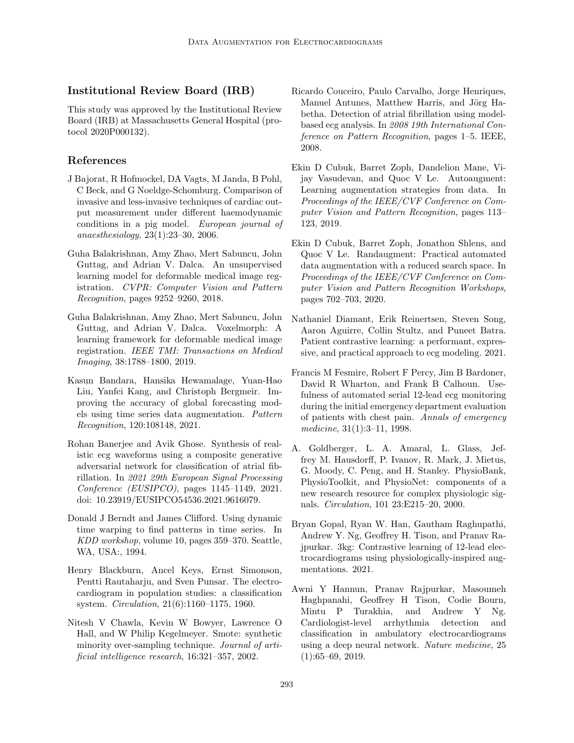# Institutional Review Board (IRB)

This study was approved by the Institutional Review Board (IRB) at Massachusetts General Hospital (protocol 2020P000132).

# References

- <span id="page-11-6"></span>J Bajorat, R Hofmockel, DA Vagts, M Janda, B Pohl, C Beck, and G Noeldge-Schomburg. Comparison of invasive and less-invasive techniques of cardiac output measurement under different haemodynamic conditions in a pig model. European journal of anaesthesiology, 23(1):23–30, 2006.
- <span id="page-11-14"></span>Guha Balakrishnan, Amy Zhao, Mert Sabuncu, John Guttag, and Adrian V. Dalca. An unsupervised learning model for deformable medical image registration. CVPR: Computer Vision and Pattern Recognition, pages 9252–9260, 2018.
- <span id="page-11-15"></span>Guha Balakrishnan, Amy Zhao, Mert Sabuncu, John Guttag, and Adrian V. Dalca. Voxelmorph: A learning framework for deformable medical image registration. IEEE TMI: Transactions on Medical Imaging, 38:1788–1800, 2019.
- <span id="page-11-9"></span>Kasun Bandara, Hansika Hewamalage, Yuan-Hao Liu, Yanfei Kang, and Christoph Bergmeir. Improving the accuracy of global forecasting models using time series data augmentation. Pattern Recognition, 120:108148, 2021.
- <span id="page-11-10"></span>Rohan Banerjee and Avik Ghose. Synthesis of realistic ecg waveforms using a composite generative adversarial network for classification of atrial fibrillation. In 2021 29th European Signal Processing Conference (EUSIPCO), pages 1145–1149, 2021. doi: 10.23919/EUSIPCO54536.2021.9616079.
- <span id="page-11-11"></span>Donald J Berndt and James Clifford. Using dynamic time warping to find patterns in time series. In KDD workshop, volume 10, pages 359–370. Seattle, WA, USA:, 1994.
- <span id="page-11-2"></span>Henry Blackburn, Ancel Keys, Ernst Simonson, Pentti Rautaharju, and Sven Punsar. The electrocardiogram in population studies: a classification system. Circulation, 21(6):1160–1175, 1960.
- <span id="page-11-12"></span>Nitesh V Chawla, Kevin W Bowyer, Lawrence O Hall, and W Philip Kegelmeyer. Smote: synthetic minority over-sampling technique. Journal of artificial intelligence research, 16:321–357, 2002.
- <span id="page-11-13"></span>Ricardo Couceiro, Paulo Carvalho, Jorge Henriques, Manuel Antunes, Matthew Harris, and Jörg Habetha. Detection of atrial fibrillation using modelbased ecg analysis. In 2008 19th International Conference on Pattern Recognition, pages 1–5. IEEE, 2008.
- <span id="page-11-7"></span>Ekin D Cubuk, Barret Zoph, Dandelion Mane, Vijay Vasudevan, and Quoc V Le. Autoaugment: Learning augmentation strategies from data. In Proceedings of the IEEE/CVF Conference on Computer Vision and Pattern Recognition, pages 113– 123, 2019.
- <span id="page-11-8"></span>Ekin D Cubuk, Barret Zoph, Jonathon Shlens, and Quoc V Le. Randaugment: Practical automated data augmentation with a reduced search space. In Proceedings of the IEEE/CVF Conference on Computer Vision and Pattern Recognition Workshops, pages 702–703, 2020.
- <span id="page-11-5"></span>Nathaniel Diamant, Erik Reinertsen, Steven Song, Aaron Aguirre, Collin Stultz, and Puneet Batra. Patient contrastive learning: a performant, expressive, and practical approach to ecg modeling. 2021.
- <span id="page-11-1"></span>Francis M Fesmire, Robert F Percy, Jim B Bardoner, David R Wharton, and Frank B Calhoun. Usefulness of automated serial 12-lead ecg monitoring during the initial emergency department evaluation of patients with chest pain. Annals of emergency medicine, 31(1):3–11, 1998.
- <span id="page-11-0"></span>A. Goldberger, L. A. Amaral, L. Glass, Jeffrey M. Hausdorff, P. Ivanov, R. Mark, J. Mietus, G. Moody, C. Peng, and H. Stanley. PhysioBank, PhysioToolkit, and PhysioNet: components of a new research resource for complex physiologic signals. Circulation, 101 23:E215–20, 2000.
- <span id="page-11-4"></span>Bryan Gopal, Ryan W. Han, Gautham Raghupathi, Andrew Y. Ng, Geoffrey H. Tison, and Pranav Rajpurkar. 3kg: Contrastive learning of 12-lead electrocardiograms using physiologically-inspired augmentations. 2021.
- <span id="page-11-3"></span>Awni Y Hannun, Pranav Rajpurkar, Masoumeh Haghpanahi, Geoffrey H Tison, Codie Bourn, Mintu P Turakhia, and Andrew Y Ng. Cardiologist-level arrhythmia detection and classification in ambulatory electrocardiograms using a deep neural network. Nature medicine, 25 (1):65–69, 2019.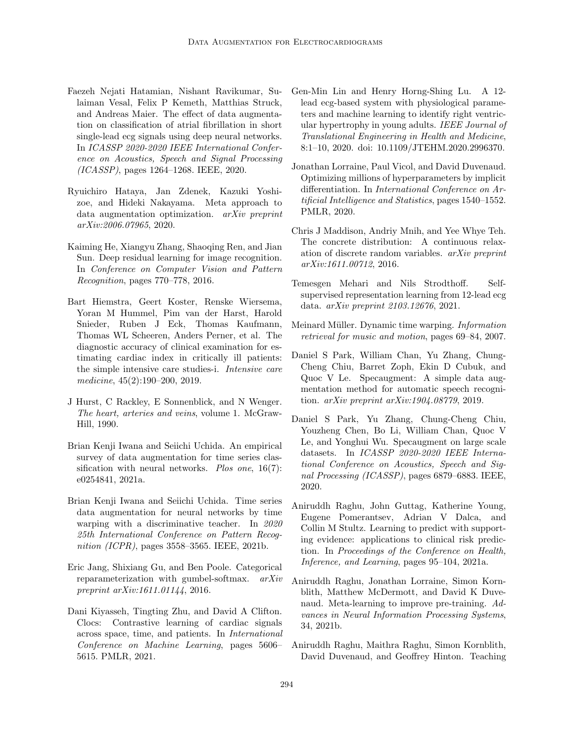- <span id="page-12-9"></span>Faezeh Nejati Hatamian, Nishant Ravikumar, Sulaiman Vesal, Felix P Kemeth, Matthias Struck, and Andreas Maier. The effect of data augmentation on classification of atrial fibrillation in short single-lead ecg signals using deep neural networks. In ICASSP 2020-2020 IEEE International Conference on Acoustics, Speech and Signal Processing (ICASSP), pages 1264–1268. IEEE, 2020.
- <span id="page-12-4"></span>Ryuichiro Hataya, Jan Zdenek, Kazuki Yoshizoe, and Hideki Nakayama. Meta approach to data augmentation optimization. arXiv preprint arXiv:2006.07965, 2020.
- <span id="page-12-18"></span>Kaiming He, Xiangyu Zhang, Shaoqing Ren, and Jian Sun. Deep residual learning for image recognition. In Conference on Computer Vision and Pattern Recognition, pages 770–778, 2016.
- <span id="page-12-2"></span>Bart Hiemstra, Geert Koster, Renske Wiersema, Yoran M Hummel, Pim van der Harst, Harold Snieder, Ruben J Eck, Thomas Kaufmann, Thomas WL Scheeren, Anders Perner, et al. The diagnostic accuracy of clinical examination for estimating cardiac index in critically ill patients: the simple intensive care studies-i. Intensive care medicine, 45(2):190–200, 2019.
- <span id="page-12-17"></span>J Hurst, C Rackley, E Sonnenblick, and N Wenger. The heart, arteries and veins, volume 1. McGraw-Hill, 1990.
- <span id="page-12-5"></span>Brian Kenji Iwana and Seiichi Uchida. An empirical survey of data augmentation for time series classification with neural networks. Plos one,  $16(7)$ : e0254841, 2021a.
- <span id="page-12-7"></span>Brian Kenji Iwana and Seiichi Uchida. Time series data augmentation for neural networks by time warping with a discriminative teacher. In 2020 25th International Conference on Pattern Recognition (ICPR), pages 3558–3565. IEEE, 2021b.
- <span id="page-12-14"></span>Eric Jang, Shixiang Gu, and Ben Poole. Categorical reparameterization with gumbel-softmax. arXiv preprint arXiv:1611.01144, 2016.
- <span id="page-12-0"></span>Dani Kiyasseh, Tingting Zhu, and David A Clifton. Clocs: Contrastive learning of cardiac signals across space, time, and patients. In International Conference on Machine Learning, pages 5606– 5615. PMLR, 2021.
- <span id="page-12-16"></span>Gen-Min Lin and Henry Horng-Shing Lu. A 12 lead ecg-based system with physiological parameters and machine learning to identify right ventricular hypertrophy in young adults. IEEE Journal of Translational Engineering in Health and Medicine, 8:1–10, 2020. doi: 10.1109/JTEHM.2020.2996370.
- <span id="page-12-6"></span>Jonathan Lorraine, Paul Vicol, and David Duvenaud. Optimizing millions of hyperparameters by implicit differentiation. In International Conference on Artificial Intelligence and Statistics, pages 1540–1552. PMLR, 2020.
- <span id="page-12-15"></span>Chris J Maddison, Andriy Mnih, and Yee Whye Teh. The concrete distribution: A continuous relaxation of discrete random variables. arXiv preprint arXiv:1611.00712, 2016.
- <span id="page-12-11"></span>Temesgen Mehari and Nils Strodthoff. Selfsupervised representation learning from 12-lead ecg data. arXiv preprint 2103.12676, 2021.
- <span id="page-12-13"></span>Meinard Müller. Dynamic time warping. Information retrieval for music and motion, pages 69–84, 2007.
- <span id="page-12-3"></span>Daniel S Park, William Chan, Yu Zhang, Chung-Cheng Chiu, Barret Zoph, Ekin D Cubuk, and Quoc V Le. Specaugment: A simple data augmentation method for automatic speech recognition. arXiv preprint arXiv:1904.08779, 2019.
- <span id="page-12-8"></span>Daniel S Park, Yu Zhang, Chung-Cheng Chiu, Youzheng Chen, Bo Li, William Chan, Quoc V Le, and Yonghui Wu. Specaugment on large scale datasets. In ICASSP 2020-2020 IEEE International Conference on Acoustics, Speech and Signal Processing (ICASSP), pages 6879–6883. IEEE, 2020.
- <span id="page-12-1"></span>Aniruddh Raghu, John Guttag, Katherine Young, Eugene Pomerantsev, Adrian V Dalca, and Collin M Stultz. Learning to predict with supporting evidence: applications to clinical risk prediction. In Proceedings of the Conference on Health, Inference, and Learning, pages 95–104, 2021a.
- <span id="page-12-10"></span>Aniruddh Raghu, Jonathan Lorraine, Simon Kornblith, Matthew McDermott, and David K Duvenaud. Meta-learning to improve pre-training. Advances in Neural Information Processing Systems, 34, 2021b.
- <span id="page-12-12"></span>Aniruddh Raghu, Maithra Raghu, Simon Kornblith, David Duvenaud, and Geoffrey Hinton. Teaching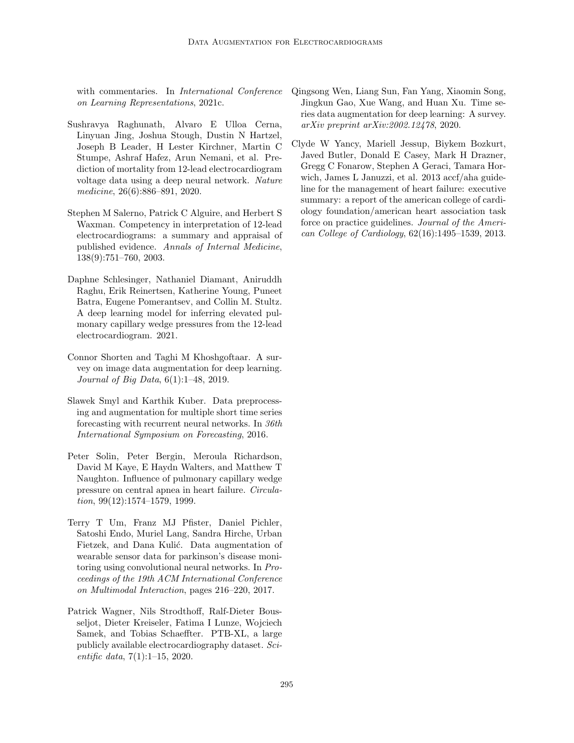with commentaries. In *International Conference* on Learning Representations, 2021c.

- <span id="page-13-2"></span>Sushravya Raghunath, Alvaro E Ulloa Cerna, Linyuan Jing, Joshua Stough, Dustin N Hartzel, Joseph B Leader, H Lester Kirchner, Martin C Stumpe, Ashraf Hafez, Arun Nemani, et al. Prediction of mortality from 12-lead electrocardiogram voltage data using a deep neural network. Nature medicine, 26(6):886–891, 2020.
- <span id="page-13-1"></span>Stephen M Salerno, Patrick C Alguire, and Herbert S Waxman. Competency in interpretation of 12-lead electrocardiograms: a summary and appraisal of published evidence. Annals of Internal Medicine, 138(9):751–760, 2003.
- <span id="page-13-3"></span>Daphne Schlesinger, Nathaniel Diamant, Aniruddh Raghu, Erik Reinertsen, Katherine Young, Puneet Batra, Eugene Pomerantsev, and Collin M. Stultz. A deep learning model for inferring elevated pulmonary capillary wedge pressures from the 12-lead electrocardiogram. 2021.
- <span id="page-13-5"></span>Connor Shorten and Taghi M Khoshgoftaar. A survey on image data augmentation for deep learning. Journal of Big Data, 6(1):1–48, 2019.
- <span id="page-13-7"></span>Slawek Smyl and Karthik Kuber. Data preprocessing and augmentation for multiple short time series forecasting with recurrent neural networks. In 36th International Symposium on Forecasting, 2016.
- <span id="page-13-9"></span>Peter Solin, Peter Bergin, Meroula Richardson, David M Kaye, E Haydn Walters, and Matthew T Naughton. Influence of pulmonary capillary wedge pressure on central apnea in heart failure. Circulation, 99(12):1574–1579, 1999.
- <span id="page-13-6"></span>Terry T Um, Franz MJ Pfister, Daniel Pichler, Satoshi Endo, Muriel Lang, Sandra Hirche, Urban Fietzek, and Dana Kulić. Data augmentation of wearable sensor data for parkinson's disease monitoring using convolutional neural networks. In Proceedings of the 19th ACM International Conference on Multimodal Interaction, pages 216–220, 2017.
- <span id="page-13-0"></span>Patrick Wagner, Nils Strodthoff, Ralf-Dieter Bousseljot, Dieter Kreiseler, Fatima I Lunze, Wojciech Samek, and Tobias Schaeffter. PTB-XL, a large publicly available electrocardiography dataset. Scientific data, 7(1):1–15, 2020.
- <span id="page-13-4"></span>Qingsong Wen, Liang Sun, Fan Yang, Xiaomin Song, Jingkun Gao, Xue Wang, and Huan Xu. Time series data augmentation for deep learning: A survey. arXiv preprint arXiv:2002.12478, 2020.
- <span id="page-13-8"></span>Clyde W Yancy, Mariell Jessup, Biykem Bozkurt, Javed Butler, Donald E Casey, Mark H Drazner, Gregg C Fonarow, Stephen A Geraci, Tamara Horwich, James L Januzzi, et al. 2013 accf/aha guideline for the management of heart failure: executive summary: a report of the american college of cardiology foundation/american heart association task force on practice guidelines. Journal of the American College of Cardiology, 62(16):1495–1539, 2013.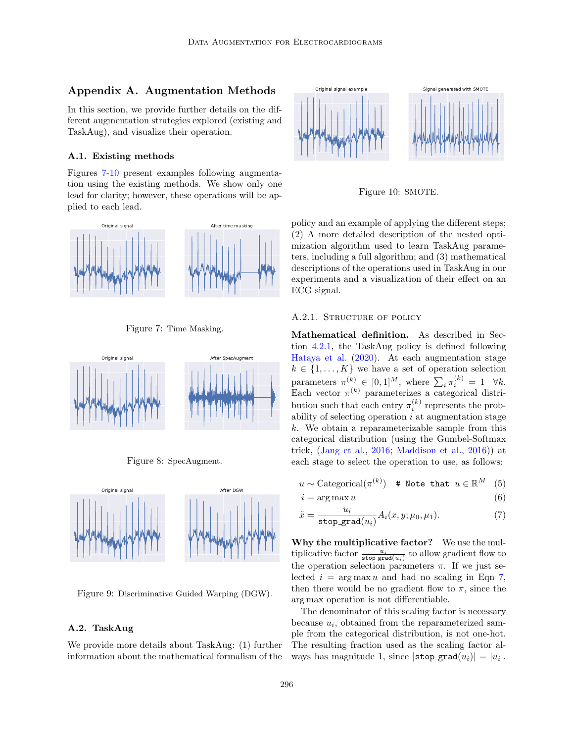# <span id="page-14-0"></span>Appendix A. Augmentation Methods

In this section, we provide further details on the different augmentation strategies explored (existing and TaskAug), and visualize their operation.

### A.1. Existing methods

Figures [7-](#page-14-1)[10](#page-14-2) present examples following augmentation using the existing methods. We show only one lead for clarity; however, these operations will be applied to each lead.



<span id="page-14-1"></span>Figure 7: Time Masking.



Figure 8: SpecAugment.



Figure 9: Discriminative Guided Warping (DGW).

### A.2. TaskAug

We provide more details about TaskAug: (1) further information about the mathematical formalism of the



<span id="page-14-2"></span>Figure 10: SMOTE.

policy and an example of applying the different steps; (2) A more detailed description of the nested optimization algorithm used to learn TaskAug parameters, including a full algorithm; and (3) mathematical descriptions of the operations used in TaskAug in our experiments and a visualization of their effect on an ECG signal.

#### A.2.1. STRUCTURE OF POLICY

Mathematical definition. As described in Section [4.2.1,](#page-3-3) the TaskAug policy is defined following [Hataya et al.](#page-12-4) [\(2020\)](#page-12-4). At each augmentation stage  $k \in \{1, \ldots, K\}$  we have a set of operation selection parameters  $\pi^{(k)} \in [0,1]^M$ , where  $\sum_i \pi_i^{(k)} = 1 \quad \forall k$ . Each vector  $\pi^{(k)}$  parameterizes a categorical distribution such that each entry  $\pi_i^{(k)}$  represents the probability of selecting operation  $i$  at augmentation stage k. We obtain a reparameterizable sample from this categorical distribution (using the Gumbel-Softmax trick, [\(Jang et al.,](#page-12-14) [2016;](#page-12-14) [Maddison et al.,](#page-12-15) [2016\)](#page-12-15)) at each stage to select the operation to use, as follows:

$$
u \sim \text{Categorical}(\pi^{(k)}) \quad \text{# Note that} \quad u \in \mathbb{R}^M \quad (5)
$$

<span id="page-14-3"></span>
$$
i = \arg \max u \tag{6}
$$

$$
\tilde{x} = \frac{u_i}{\text{stop\_grad}(u_i)} A_i(x, y; \mu_0, \mu_1). \tag{7}
$$

Why the multiplicative factor? We use the multiplicative factor  $\frac{u_i}{\texttt{stop\_grad}(u_i)}$  to allow gradient flow to the operation selection parameters  $\pi$ . If we just selected  $i = \arg \max u$  and had no scaling in Eqn [7,](#page-14-3) then there would be no gradient flow to  $\pi$ , since the arg max operation is not differentiable.

The denominator of this scaling factor is necessary because  $u_i$ , obtained from the reparameterized sample from the categorical distribution, is not one-hot. The resulting fraction used as the scaling factor always has magnitude 1, since  $|\texttt{stop\_grad}(u_i)| = |u_i|.$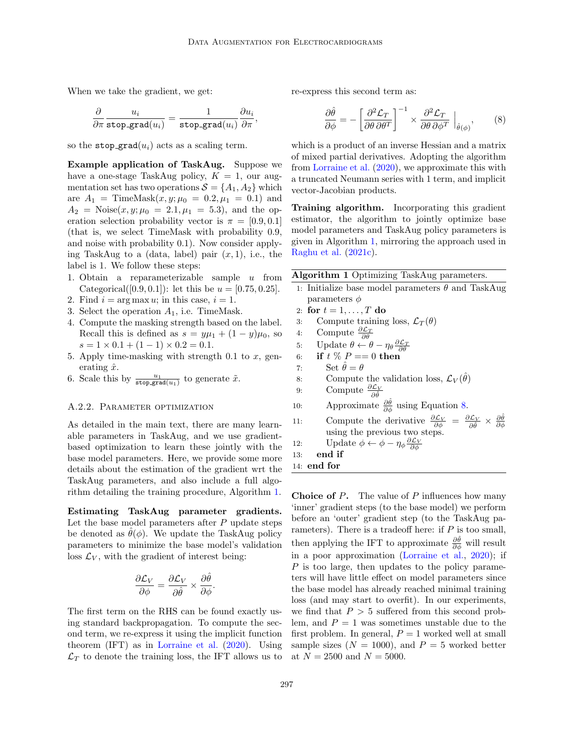When we take the gradient, we get:

$$
\frac{\partial}{\partial \pi} \frac{u_i}{\texttt{stop\_grad}(u_i)} = \frac{1}{\texttt{stop\_grad}(u_i)} \frac{\partial u_i}{\partial \pi},
$$

so the stop grad $(u_i)$  acts as a scaling term.

Example application of TaskAug. Suppose we have a one-stage TaskAug policy,  $K = 1$ , our augmentation set has two operations  $S = \{A_1, A_2\}$  which are  $A_1 = \text{TimeMask}(x, y; \mu_0 = 0.2, \mu_1 = 0.1)$  and  $A_2$  = Noise $(x, y; \mu_0 = 2.1, \mu_1 = 5.3)$ , and the operation selection probability vector is  $\pi = [0.9, 0.1]$ (that is, we select TimeMask with probability 0.9, and noise with probability 0.1). Now consider applying TaskAug to a (data, label) pair  $(x, 1)$ , i.e., the label is 1. We follow these steps:

- 1. Obtain a reparameterizable sample  $u$  from Categorical([0.9, 0.1]): let this be  $u = [0.75, 0.25]$ .
- 2. Find  $i = \arg \max u$ ; in this case,  $i = 1$ .
- 3. Select the operation  $A_1$ , i.e. TimeMask.
- 4. Compute the masking strength based on the label. Recall this is defined as  $s = y\mu_1 + (1 - y)\mu_0$ , so  $s = 1 \times 0.1 + (1 - 1) \times 0.2 = 0.1.$
- 5. Apply time-masking with strength 0.1 to  $x$ , generating  $\hat{x}$ .
- 6. Scale this by  $\frac{u_1}{\text{stop\_grad}(u_1)}$  to generate  $\tilde{x}$ .

### A.2.2. PARAMETER OPTIMIZATION

As detailed in the main text, there are many learnable parameters in TaskAug, and we use gradientbased optimization to learn these jointly with the base model parameters. Here, we provide some more details about the estimation of the gradient wrt the TaskAug parameters, and also include a full algorithm detailing the training procedure, Algorithm [1.](#page-15-0)

Estimating TaskAug parameter gradients. Let the base model parameters after  $P$  update steps be denoted as  $\theta(\phi)$ . We update the TaskAug policy parameters to minimize the base model's validation loss  $\mathcal{L}_V$ , with the gradient of interest being:

$$
\frac{\partial \mathcal{L}_V}{\partial \phi} = \frac{\partial \mathcal{L}_V}{\partial \hat{\theta}} \times \frac{\partial \hat{\theta}}{\partial \phi}.
$$

The first term on the RHS can be found exactly using standard backpropagation. To compute the second term, we re-express it using the implicit function theorem (IFT) as in [Lorraine et al.](#page-12-6) [\(2020\)](#page-12-6). Using  $\mathcal{L}_T$  to denote the training loss, the IFT allows us to re-express this second term as:

<span id="page-15-1"></span>
$$
\frac{\partial \hat{\theta}}{\partial \phi} = -\left[\frac{\partial^2 \mathcal{L}_T}{\partial \theta \,\partial \theta^T}\right]^{-1} \times \frac{\partial^2 \mathcal{L}_T}{\partial \theta \,\partial \phi^T} \bigg|_{\hat{\theta}(\phi)},\tag{8}
$$

which is a product of an inverse Hessian and a matrix of mixed partial derivatives. Adopting the algorithm from [Lorraine et al.](#page-12-6) [\(2020\)](#page-12-6), we approximate this with a truncated Neumann series with 1 term, and implicit vector-Jacobian products.

Training algorithm. Incorporating this gradient estimator, the algorithm to jointly optimize base model parameters and TaskAug policy parameters is given in Algorithm [1,](#page-15-0) mirroring the approach used in [Raghu et al.](#page-12-12) [\(2021c\)](#page-12-12).

| Algorithm 1 Optimizing TaskAug parameters.                                                                                                                                       |
|----------------------------------------------------------------------------------------------------------------------------------------------------------------------------------|
| 1. Initialize base model parameters $\theta$ and TaskAug                                                                                                                         |
| parameters $\phi$                                                                                                                                                                |
| 2: for $t = 1, , T$ do                                                                                                                                                           |
| Compute training loss, $\mathcal{L}_T(\theta)$<br>3:                                                                                                                             |
| Compute $\frac{\partial \mathcal{L}_T}{\partial \theta}$<br>4:                                                                                                                   |
| 5: Update $\theta \leftarrow \theta - \eta_{\theta} \frac{\partial \mathcal{L}_T}{\partial \theta}$                                                                              |
| 6: if $t\% P == 0$ then                                                                                                                                                          |
| Set $\hat{\theta} = \theta$<br>7:                                                                                                                                                |
| Compute the validation loss, $\mathcal{L}_V(\hat{\theta})$<br>8:                                                                                                                 |
| Compute $\frac{\partial \mathcal{L}_V}{\partial \hat{a}}$<br>9:                                                                                                                  |
| Approximate $\frac{\partial \hat{\theta}}{\partial \phi}$ using Equation 8.<br>10:                                                                                               |
| Compute the derivative $\frac{\partial \mathcal{L}_V}{\partial \phi} = \frac{\partial \mathcal{L}_V}{\partial \hat{\theta}} \times \frac{\partial \theta}{\partial \phi}$<br>11: |
| using the previous two steps.                                                                                                                                                    |
| Update $\phi \leftarrow \phi - \eta_{\phi} \frac{\partial \mathcal{L}_V}{\partial \phi}$<br>12:                                                                                  |
| end if<br>13:                                                                                                                                                                    |
| $14:$ end for                                                                                                                                                                    |

<span id="page-15-0"></span>**Choice of P.** The value of  $P$  influences how many 'inner' gradient steps (to the base model) we perform before an 'outer' gradient step (to the TaskAug parameters). There is a tradeoff here: if  $P$  is too small, then applying the IFT to approximate  $\frac{\partial \hat{\theta}}{\partial \phi}$  will result in a poor approximation [\(Lorraine et al.,](#page-12-6) [2020\)](#page-12-6); if P is too large, then updates to the policy parameters will have little effect on model parameters since the base model has already reached minimal training loss (and may start to overfit). In our experiments, we find that  $P > 5$  suffered from this second problem, and  $P = 1$  was sometimes unstable due to the first problem. In general,  $P = 1$  worked well at small sample sizes  $(N = 1000)$ , and  $P = 5$  worked better at  $N = 2500$  and  $N = 5000$ .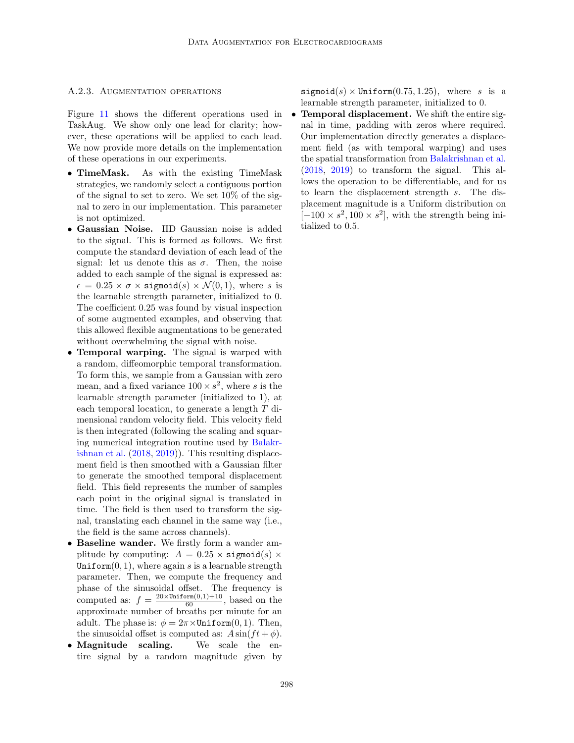### A.2.3. Augmentation operations

Figure [11](#page-17-0) shows the different operations used in TaskAug. We show only one lead for clarity; however, these operations will be applied to each lead. We now provide more details on the implementation of these operations in our experiments.

- TimeMask. As with the existing TimeMask strategies, we randomly select a contiguous portion of the signal to set to zero. We set 10% of the signal to zero in our implementation. This parameter is not optimized.
- Gaussian Noise. IID Gaussian noise is added to the signal. This is formed as follows. We first compute the standard deviation of each lead of the signal: let us denote this as  $\sigma$ . Then, the noise added to each sample of the signal is expressed as:  $\epsilon = 0.25 \times \sigma \times$  sigmoid(s)  $\times \mathcal{N}(0,1)$ , where s is the learnable strength parameter, initialized to 0. The coefficient 0.25 was found by visual inspection of some augmented examples, and observing that this allowed flexible augmentations to be generated without overwhelming the signal with noise.
- Temporal warping. The signal is warped with a random, diffeomorphic temporal transformation. To form this, we sample from a Gaussian with zero mean, and a fixed variance  $100 \times s^2$ , where s is the learnable strength parameter (initialized to 1), at each temporal location, to generate a length T dimensional random velocity field. This velocity field is then integrated (following the scaling and squaring numerical integration routine used by [Balakr](#page-11-14)[ishnan et al.](#page-11-14) [\(2018,](#page-11-14) [2019\)](#page-11-15)). This resulting displacement field is then smoothed with a Gaussian filter to generate the smoothed temporal displacement field. This field represents the number of samples each point in the original signal is translated in time. The field is then used to transform the signal, translating each channel in the same way (i.e., the field is the same across channels).
- Baseline wander. We firstly form a wander amplitude by computing:  $A = 0.25 \times$  sigmoid(s)  $\times$ Uniform $(0, 1)$ , where again s is a learnable strength parameter. Then, we compute the frequency and phase of the sinusoidal offset. The frequency is computed as:  $f = \frac{20 \times \text{Uniform}(0,1) + 10}{60}$ , based on the approximate number of breaths per minute for an adult. The phase is:  $\phi = 2\pi \times \text{Uniform}(0, 1)$ . Then, the sinusoidal offset is computed as:  $A \sin(ft + \phi)$ .
- Magnitude scaling. We scale the entire signal by a random magnitude given by

sigmoid(s)  $\times$  Uniform(0.75, 1.25), where s is a learnable strength parameter, initialized to 0.

• Temporal displacement. We shift the entire signal in time, padding with zeros where required. Our implementation directly generates a displacement field (as with temporal warping) and uses the spatial transformation from [Balakrishnan et al.](#page-11-14) [\(2018,](#page-11-14) [2019\)](#page-11-15) to transform the signal. This allows the operation to be differentiable, and for us to learn the displacement strength s. The displacement magnitude is a Uniform distribution on  $[-100 \times s^2, 100 \times s^2]$ , with the strength being initialized to 0.5.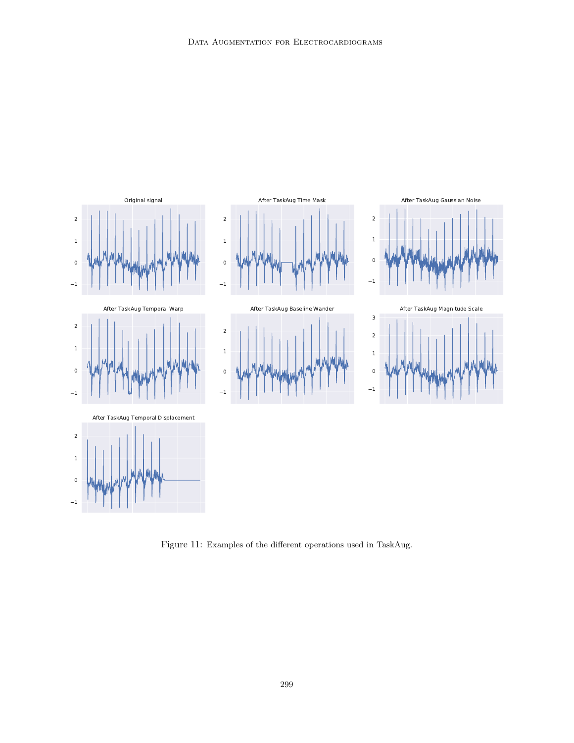

<span id="page-17-0"></span>Figure 11: Examples of the different operations used in TaskAug.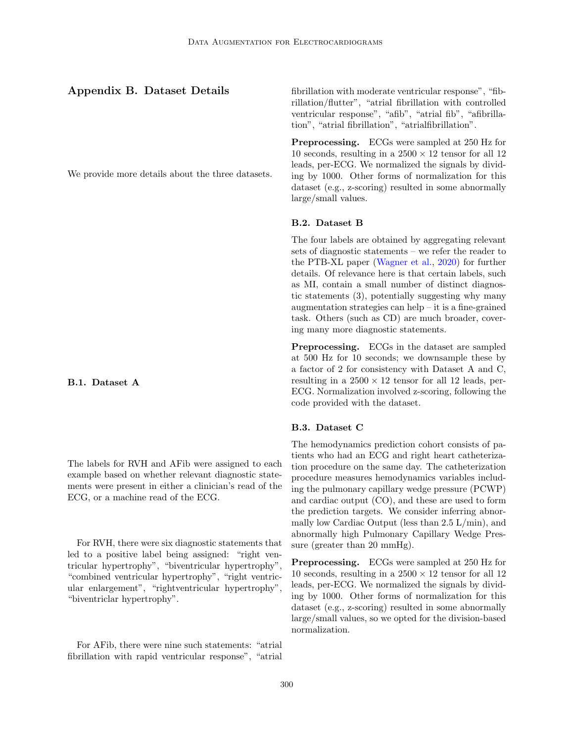# <span id="page-18-0"></span>Appendix B. Dataset Details

We provide more details about the three datasets.

B.1. Dataset A

The labels for RVH and AFib were assigned to each example based on whether relevant diagnostic statements were present in either a clinician's read of the ECG, or a machine read of the ECG.

For RVH, there were six diagnostic statements that led to a positive label being assigned: "right ventricular hypertrophy", "biventricular hypertrophy", "combined ventricular hypertrophy", "right ventricular enlargement", "rightventricular hypertrophy", "biventriclar hypertrophy".

For AFib, there were nine such statements: "atrial fibrillation with rapid ventricular response", "atrial fibrillation with moderate ventricular response", "fibrillation/flutter", "atrial fibrillation with controlled ventricular response", "afib", "atrial fib", "afibrillation", "atrial fibrillation", "atrialfibrillation".

Preprocessing. ECGs were sampled at 250 Hz for 10 seconds, resulting in a  $2500 \times 12$  tensor for all 12 leads, per-ECG. We normalized the signals by dividing by 1000. Other forms of normalization for this dataset (e.g., z-scoring) resulted in some abnormally large/small values.

#### B.2. Dataset B

The four labels are obtained by aggregating relevant sets of diagnostic statements – we refer the reader to the PTB-XL paper [\(Wagner et al.,](#page-13-0) [2020\)](#page-13-0) for further details. Of relevance here is that certain labels, such as MI, contain a small number of distinct diagnostic statements (3), potentially suggesting why many augmentation strategies can help – it is a fine-grained task. Others (such as CD) are much broader, covering many more diagnostic statements.

Preprocessing. ECGs in the dataset are sampled at 500 Hz for 10 seconds; we downsample these by a factor of 2 for consistency with Dataset A and C, resulting in a  $2500 \times 12$  tensor for all 12 leads, per-ECG. Normalization involved z-scoring, following the code provided with the dataset.

### B.3. Dataset C

The hemodynamics prediction cohort consists of patients who had an ECG and right heart catheterization procedure on the same day. The catheterization procedure measures hemodynamics variables including the pulmonary capillary wedge pressure (PCWP) and cardiac output (CO), and these are used to form the prediction targets. We consider inferring abnormally low Cardiac Output (less than 2.5 L/min), and abnormally high Pulmonary Capillary Wedge Pressure (greater than 20 mmHg).

Preprocessing. ECGs were sampled at 250 Hz for 10 seconds, resulting in a  $2500 \times 12$  tensor for all 12 leads, per-ECG. We normalized the signals by dividing by 1000. Other forms of normalization for this dataset (e.g., z-scoring) resulted in some abnormally large/small values, so we opted for the division-based normalization.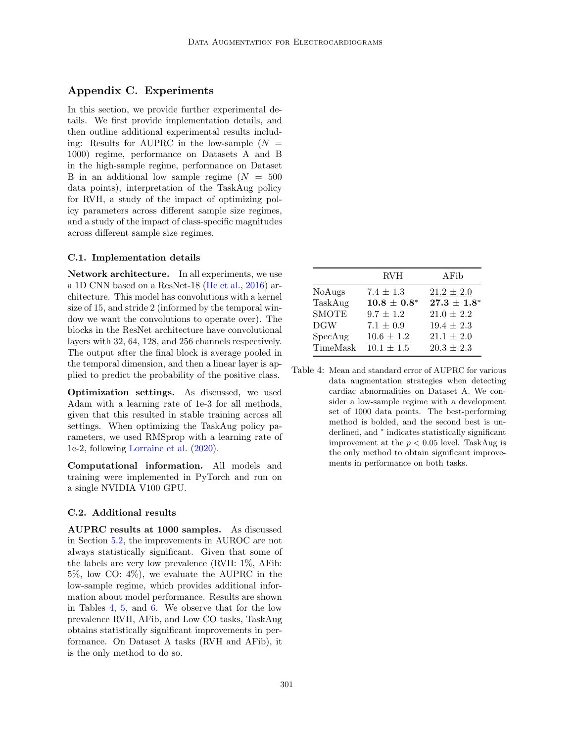# <span id="page-19-0"></span>Appendix C. Experiments

In this section, we provide further experimental details. We first provide implementation details, and then outline additional experimental results including: Results for AUPRC in the low-sample  $(N =$ 1000) regime, performance on Datasets A and B in the high-sample regime, performance on Dataset B in an additional low sample regime  $(N = 500$ data points), interpretation of the TaskAug policy for RVH, a study of the impact of optimizing policy parameters across different sample size regimes, and a study of the impact of class-specific magnitudes across different sample size regimes.

### C.1. Implementation details

Network architecture. In all experiments, we use a 1D CNN based on a ResNet-18 [\(He et al.,](#page-12-18) [2016\)](#page-12-18) architecture. This model has convolutions with a kernel size of 15, and stride 2 (informed by the temporal window we want the convolutions to operate over). The blocks in the ResNet architecture have convolutional layers with 32, 64, 128, and 256 channels respectively. The output after the final block is average pooled in the temporal dimension, and then a linear layer is applied to predict the probability of the positive class.

Optimization settings. As discussed, we used Adam with a learning rate of 1e-3 for all methods, given that this resulted in stable training across all settings. When optimizing the TaskAug policy parameters, we used RMSprop with a learning rate of 1e-2, following [Lorraine et al.](#page-12-6) [\(2020\)](#page-12-6).

Computational information. All models and training were implemented in PyTorch and run on a single NVIDIA V100 GPU.

#### C.2. Additional results

AUPRC results at 1000 samples. As discussed in Section [5.2,](#page-6-0) the improvements in AUROC are not always statistically significant. Given that some of the labels are very low prevalence (RVH: 1%, AFib: 5%, low CO: 4%), we evaluate the AUPRC in the low-sample regime, which provides additional information about model performance. Results are shown in Tables [4,](#page-19-1) [5,](#page-20-1) and [6.](#page-20-0) We observe that for the low prevalence RVH, AFib, and Low CO tasks, TaskAug obtains statistically significant improvements in performance. On Dataset A tasks (RVH and AFib), it is the only method to do so.

<span id="page-19-1"></span>

|              | <b>RVH</b>       | AFib           |
|--------------|------------------|----------------|
| NoAugs       | $7.4 \pm 1.3$    | $21.2 \pm 2.0$ |
| TaskAug      | $10.8 \pm 0.8^*$ | $27.3 + 1.8^*$ |
| <b>SMOTE</b> | $9.7 \pm 1.2$    | $21.0 \pm 2.2$ |
| DGW          | $7.1 \pm 0.9$    | $19.4 \pm 2.3$ |
| SpecAug      | $10.6 \pm 1.2$   | $21.1 \pm 2.0$ |
| TimeMask     | $10.1 \pm 1.5$   | $20.3 \pm 2.3$ |

Table 4: Mean and standard error of AUPRC for various data augmentation strategies when detecting cardiac abnormalities on Dataset A. We consider a low-sample regime with a development set of 1000 data points. The best-performing method is bolded, and the second best is underlined, and <sup>∗</sup> indicates statistically significant improvement at the  $p < 0.05$  level. TaskAug is the only method to obtain significant improvements in performance on both tasks.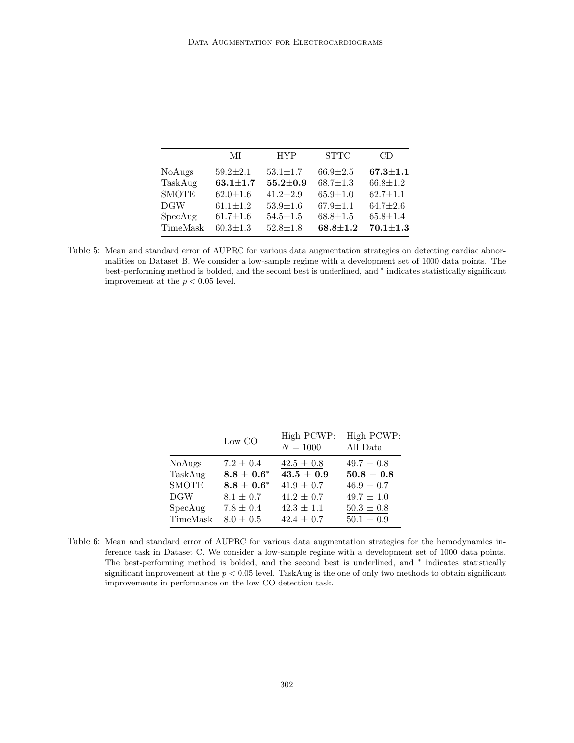<span id="page-20-1"></span>

|               | МI             | <b>HYP</b>     | <b>STTC</b>    | CD             |
|---------------|----------------|----------------|----------------|----------------|
| <b>NoAugs</b> | $59.2 \pm 2.1$ | $53.1 \pm 1.7$ | $66.9 \pm 2.5$ | $67.3 \pm 1.1$ |
| TaskAug       | $63.1 \pm 1.7$ | $55.2 \pm 0.9$ | $68.7 \pm 1.3$ | $66.8 \pm 1.2$ |
| <b>SMOTE</b>  | $62.0 \pm 1.6$ | $41.2 \pm 2.9$ | $65.9 \pm 1.0$ | $62.7 \pm 1.1$ |
| DGW           | $61.1 \pm 1.2$ | $53.9 \pm 1.6$ | $67.9 \pm 1.1$ | $64.7 \pm 2.6$ |
| SpecAug       | $61.7 \pm 1.6$ | $54.5 \pm 1.5$ | $68.8 \pm 1.5$ | $65.8 \pm 1.4$ |
| TimeMask      | $60.3 \pm 1.3$ | $52.8 \pm 1.8$ | $68.8 \pm 1.2$ | $70.1 + 1.3$   |

Table 5: Mean and standard error of AUPRC for various data augmentation strategies on detecting cardiac abnormalities on Dataset B. We consider a low-sample regime with a development set of 1000 data points. The best-performing method is bolded, and the second best is underlined, and <sup>∗</sup> indicates statistically significant improvement at the  $p < 0.05$  level.

<span id="page-20-0"></span>

|               | Low CO          | High PCWP:<br>${\cal N}=1000$ | High PCWP:<br>All Data |
|---------------|-----------------|-------------------------------|------------------------|
| <b>NoAugs</b> | $7.2 \pm 0.4$   | $42.5 \pm 0.8$                | $49.7 \pm 0.8$         |
| TaskAug       | $8.8 \pm 0.6^*$ | $43.5 \pm 0.9$                | $50.8 \pm 0.8$         |
| <b>SMOTE</b>  | $8.8 \pm 0.6^*$ | $41.9 \pm 0.7$                | $46.9 \pm 0.7$         |
| DGW           | $8.1 \pm 0.7$   | $41.2 \pm 0.7$                | $49.7 \pm 1.0$         |
| SpecAug       | $7.8 \pm 0.4$   | $42.3 \pm 1.1$                | $50.3 \pm 0.8$         |
| TimeMask      | $8.0 \pm 0.5$   | $42.4 \pm 0.7$                | $50.1 \pm 0.9$         |

Table 6: Mean and standard error of AUPRC for various data augmentation strategies for the hemodynamics inference task in Dataset C. We consider a low-sample regime with a development set of 1000 data points. The best-performing method is bolded, and the second best is underlined, and <sup>∗</sup> indicates statistically significant improvement at the  $p < 0.05$  level. TaskAug is the one of only two methods to obtain significant improvements in performance on the low CO detection task.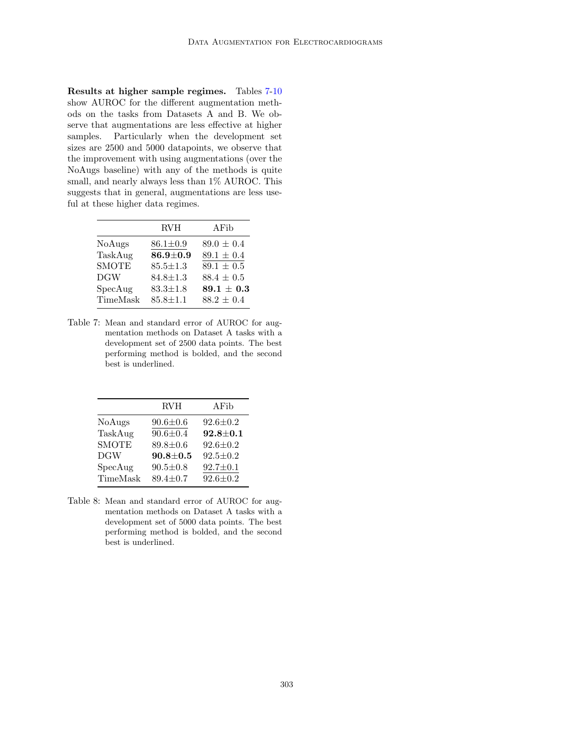Results at higher sample regimes. Tables [7-](#page-21-0)[10](#page-22-0) show AUROC for the different augmentation methods on the tasks from Datasets A and B. We observe that augmentations are less effective at higher samples. Particularly when the development set sizes are 2500 and 5000 datapoints, we observe that the improvement with using augmentations (over the NoAugs baseline) with any of the methods is quite small, and nearly always less than 1% AUROC. This suggests that in general, augmentations are less useful at these higher data regimes.

<span id="page-21-0"></span>

|               | <b>RVH</b>     | AFib                 |
|---------------|----------------|----------------------|
| <b>NoAugs</b> | $86.1 \pm 0.9$ | $89.0 \pm 0.4$       |
| TaskAug       | $86.9 \pm 0.9$ | $89.1 \pm 0.4$       |
| <b>SMOTE</b>  | $85.5 \pm 1.3$ | $89.1 \pm 0.5$       |
| <b>DGW</b>    | $84.8 \pm 1.3$ | $88.4 \pm 0.5$       |
| SpecAug       | $83.3 \pm 1.8$ | $\bf 89.1\,\pm\,0.3$ |
| TimeMask      | $85.8 \pm 1.1$ | $88.2 \pm 0.4$       |

Table 7: Mean and standard error of AUROC for augmentation methods on Dataset A tasks with a development set of 2500 data points. The best performing method is bolded, and the second best is underlined.

|              | <b>RVH</b>     | AFib           |
|--------------|----------------|----------------|
| NoAugs       | $90.6 \pm 0.6$ | $92.6 \pm 0.2$ |
| TaskAug      | $90.6 \pm 0.4$ | $92.8 \pm 0.1$ |
| <b>SMOTE</b> | $89.8 \pm 0.6$ | $92.6 \pm 0.2$ |
| <b>DGW</b>   | $90.8 \pm 0.5$ | $92.5 \pm 0.2$ |
| SpecAug      | $90.5 \pm 0.8$ | $92.7 \pm 0.1$ |
| TimeMask     | $89.4 \pm 0.7$ | $92.6 \pm 0.2$ |

Table 8: Mean and standard error of AUROC for augmentation methods on Dataset A tasks with a development set of 5000 data points. The best performing method is bolded, and the second best is underlined.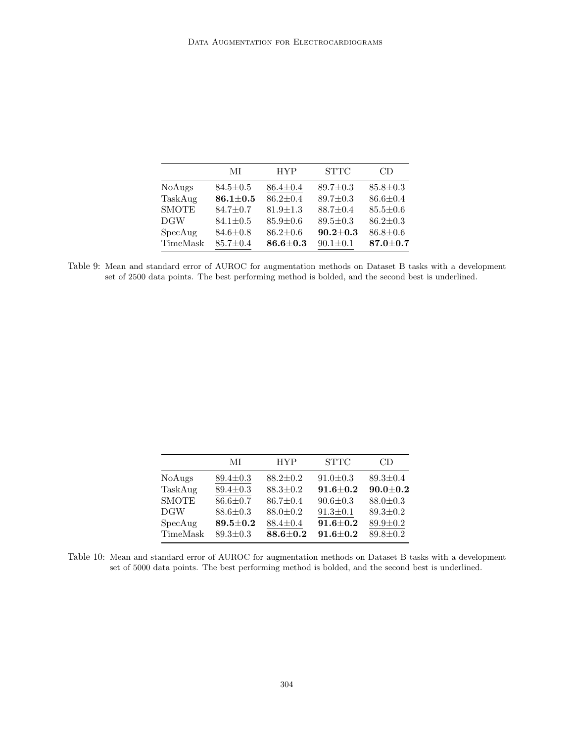|               | МI             | <b>HYP</b>     | <b>STTC</b>    | CD             |
|---------------|----------------|----------------|----------------|----------------|
| <b>NoAugs</b> | $84.5 \pm 0.5$ | $86.4 \pm 0.4$ | $89.7 \pm 0.3$ | $85.8 \pm 0.3$ |
| TaskAug       | $86.1 \pm 0.5$ | $86.2 \pm 0.4$ | $89.7 \pm 0.3$ | $86.6 \pm 0.4$ |
| <b>SMOTE</b>  | $84.7 \pm 0.7$ | $81.9 \pm 1.3$ | $88.7 \pm 0.4$ | $85.5 \pm 0.6$ |
| <b>DGW</b>    | $84.1 \pm 0.5$ | $85.9 \pm 0.6$ | $89.5 \pm 0.3$ | $86.2 \pm 0.3$ |
| SpecAug       | $84.6 \pm 0.8$ | $86.2 \pm 0.6$ | $90.2 \pm 0.3$ | $86.8 \pm 0.6$ |
| TimeMask      | $85.7 \pm 0.4$ | $86.6 \pm 0.3$ | $90.1 \pm 0.1$ | $87.0 \pm 0.7$ |

Table 9: Mean and standard error of AUROC for augmentation methods on Dataset B tasks with a development set of 2500 data points. The best performing method is bolded, and the second best is underlined.

<span id="page-22-0"></span>

|               | МI             | <b>HYP</b>     | <b>STTC</b>    | CD             |
|---------------|----------------|----------------|----------------|----------------|
| <b>NoAugs</b> | $89.4 \pm 0.3$ | $88.2 \pm 0.2$ | $91.0 \pm 0.3$ | $89.3 \pm 0.4$ |
| TaskAug       | $89.4 \pm 0.3$ | $88.3 \pm 0.2$ | $91.6 + 0.2$   | $90.0 \pm 0.2$ |
| <b>SMOTE</b>  | $86.6 \pm 0.7$ | $86.7 \pm 0.4$ | $90.6 \pm 0.3$ | $88.0 \pm 0.3$ |
| DGW           | $88.6 \pm 0.3$ | $88.0 \pm 0.2$ | $91.3 \pm 0.1$ | $89.3 \pm 0.2$ |
| SpecAug       | $89.5 \pm 0.2$ | $88.4 \pm 0.4$ | $91.6 \pm 0.2$ | $89.9 \pm 0.2$ |
| TimeMask      | $89.3 \pm 0.3$ | $88.6 + 0.2$   | $91.6 + 0.2$   | $89.8 \pm 0.2$ |
|               |                |                |                |                |

Table 10: Mean and standard error of AUROC for augmentation methods on Dataset B tasks with a development set of 5000 data points. The best performing method is bolded, and the second best is underlined.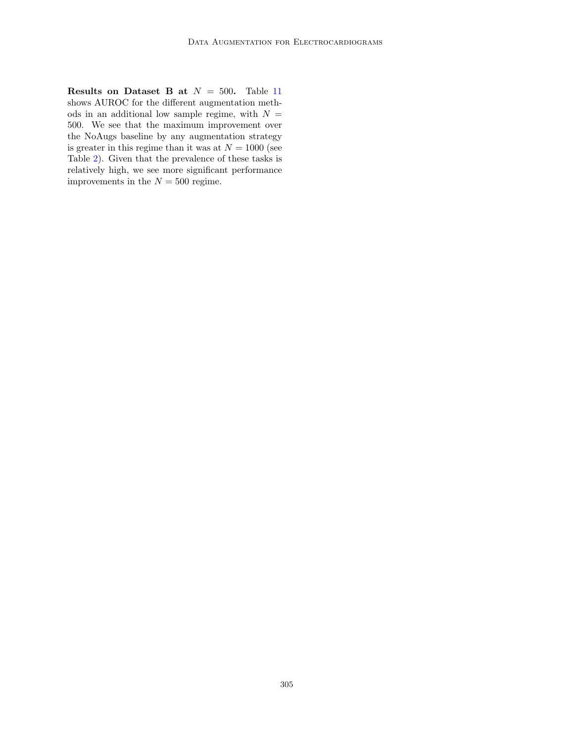Results on Dataset B at  $N = 500$ . Table [11](#page-24-0) shows AUROC for the different augmentation methods in an additional low sample regime, with  $N =$ 500. We see that the maximum improvement over the NoAugs baseline by any augmentation strategy is greater in this regime than it was at  $N = 1000$  (see Table [2\)](#page-7-0). Given that the prevalence of these tasks is relatively high, we see more significant performance improvements in the  $N = 500$  regime.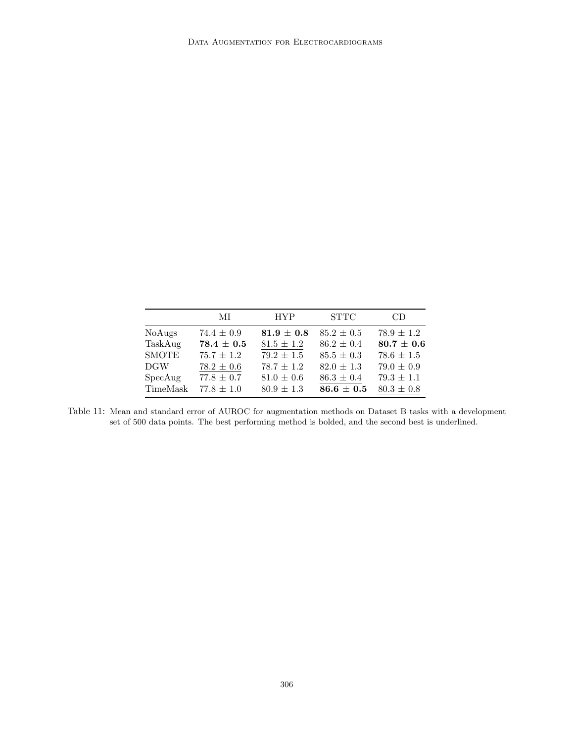<span id="page-24-0"></span>

|              | МL             | <b>HYP</b>     | <b>STTC</b>    | CD.            |
|--------------|----------------|----------------|----------------|----------------|
| NoAugs       | $74.4 \pm 0.9$ | $81.9 \pm 0.8$ | $85.2 \pm 0.5$ | $78.9 \pm 1.2$ |
| TaskAug      | $78.4 \pm 0.5$ | $81.5 \pm 1.2$ | $86.2 \pm 0.4$ | $80.7 \pm 0.6$ |
| <b>SMOTE</b> | $75.7 \pm 1.2$ | $79.2 \pm 1.5$ | $85.5 \pm 0.3$ | $78.6 \pm 1.5$ |
| DGW          | $78.2 \pm 0.6$ | $78.7 \pm 1.2$ | $82.0 \pm 1.3$ | $79.0 \pm 0.9$ |
| SpecAug      | $77.8 \pm 0.7$ | $81.0 \pm 0.6$ | $86.3 \pm 0.4$ | $79.3 \pm 1.1$ |
| TimeMask     | $77.8 \pm 1.0$ | $80.9 \pm 1.3$ | $86.6 \pm 0.5$ | $80.3 \pm 0.8$ |

Table 11: Mean and standard error of AUROC for augmentation methods on Dataset B tasks with a development set of 500 data points. The best performing method is bolded, and the second best is underlined.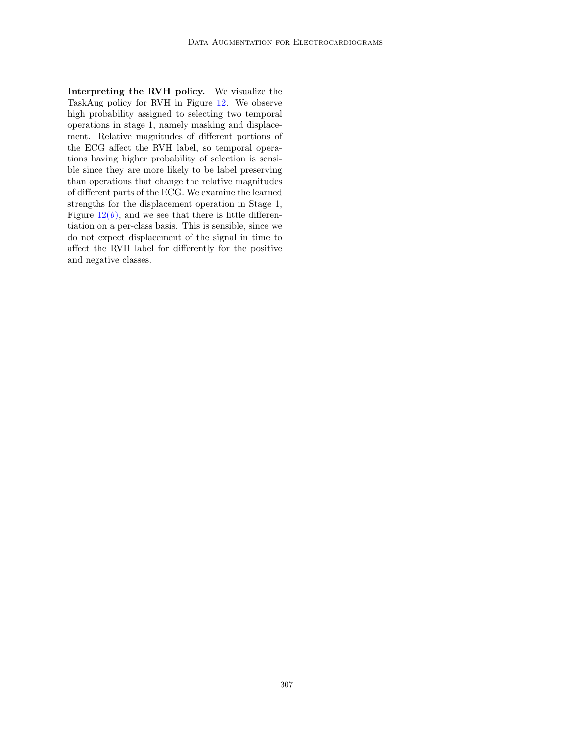Interpreting the RVH policy. We visualize the TaskAug policy for RVH in Figure [12.](#page-26-0) We observe high probability assigned to selecting two temporal operations in stage 1, namely masking and displacement. Relative magnitudes of different portions of the ECG affect the RVH label, so temporal operations having higher probability of selection is sensible since they are more likely to be label preserving than operations that change the relative magnitudes of different parts of the ECG. We examine the learned strengths for the displacement operation in Stage 1, Figure  $12(b)$  $12(b)$ , and we see that there is little differentiation on a per-class basis. This is sensible, since we do not expect displacement of the signal in time to affect the RVH label for differently for the positive and negative classes.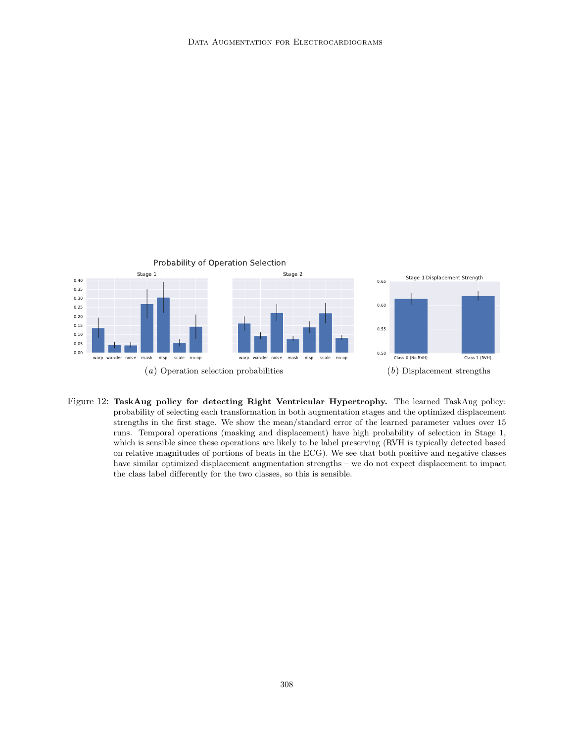

<span id="page-26-1"></span><span id="page-26-0"></span>Figure 12: TaskAug policy for detecting Right Ventricular Hypertrophy. The learned TaskAug policy: probability of selecting each transformation in both augmentation stages and the optimized displacement strengths in the first stage. We show the mean/standard error of the learned parameter values over 15 runs. Temporal operations (masking and displacement) have high probability of selection in Stage 1, which is sensible since these operations are likely to be label preserving (RVH is typically detected based on relative magnitudes of portions of beats in the ECG). We see that both positive and negative classes have similar optimized displacement augmentation strengths – we do not expect displacement to impact the class label differently for the two classes, so this is sensible.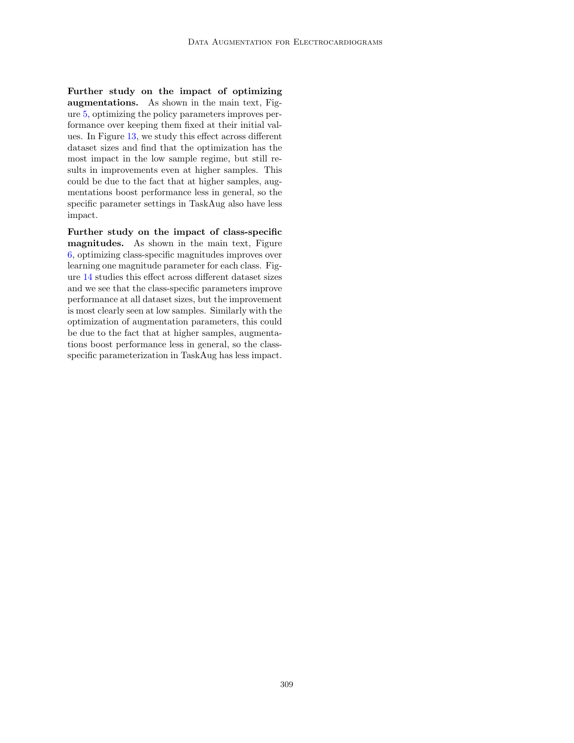Further study on the impact of optimizing augmentations. As shown in the main text, Figure [5,](#page-9-1) optimizing the policy parameters improves performance over keeping them fixed at their initial values. In Figure [13,](#page-28-1) we study this effect across different dataset sizes and find that the optimization has the most impact in the low sample regime, but still results in improvements even at higher samples. This could be due to the fact that at higher samples, augmentations boost performance less in general, so the specific parameter settings in TaskAug also have less impact.

Further study on the impact of class-specific magnitudes. As shown in the main text, Figure [6,](#page-9-2) optimizing class-specific magnitudes improves over learning one magnitude parameter for each class. Figure [14](#page-28-2) studies this effect across different dataset sizes and we see that the class-specific parameters improve performance at all dataset sizes, but the improvement is most clearly seen at low samples. Similarly with the optimization of augmentation parameters, this could be due to the fact that at higher samples, augmentations boost performance less in general, so the classspecific parameterization in TaskAug has less impact.